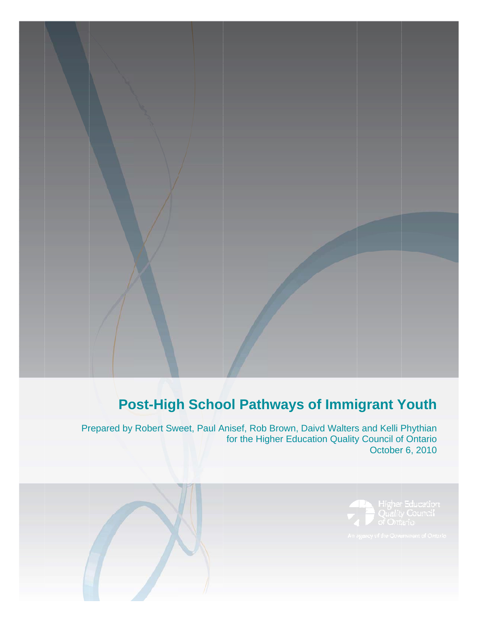# **Post-High School Pathways of Immigrant Youth**

Pr repared by Robert Sw eet, Paul A nisef, Rob for the Hig Brown, Da gher Educa aivd Walters tion Quality s and Kelli P y Council of October 6, 2010 **Phythian** f Ontario

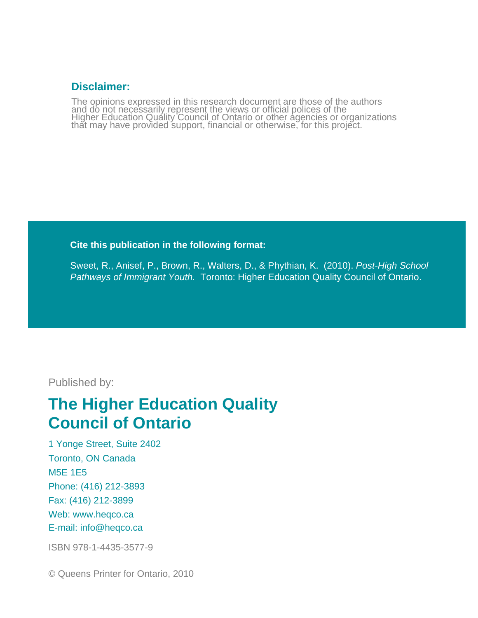### **Disclaimer:**

The opinions expressed in this research document are those of the authors and do not necessarily represent the views or official polices of the<br>Higher Education Quality Council of Ontario or other agencies or organizations<br>that may have provided support, financial or otherwise, for this project.

### **Cite this publication in the following format:**

Sweet, R., Anisef, P., Brown, R., Walters, D., & Phythian, K. (2010). *Post-High School Pathways of Immigrant Youth.* Toronto: Higher Education Quality Council of Ontario.

Published by:

# **The Higher Education Quality Council of Ontario**

1 Yonge Street, Suite 2402 Toronto, ON Canada M5E 1E5 Phone: (416) 212-3893 Fax: (416) 212-3899 Web: www.heqco.ca E-mail: info@heqco.ca

ISBN 978-1-4435-3577-9

© Queens Printer for Ontario, 2010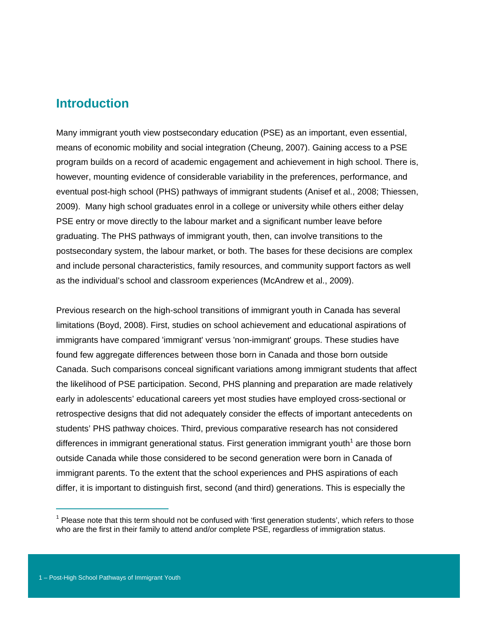### **Introduction**

Many immigrant youth view postsecondary education (PSE) as an important, even essential, means of economic mobility and social integration (Cheung, 2007). Gaining access to a PSE program builds on a record of academic engagement and achievement in high school. There is, however, mounting evidence of considerable variability in the preferences, performance, and eventual post-high school (PHS) pathways of immigrant students (Anisef et al., 2008; Thiessen, 2009). Many high school graduates enrol in a college or university while others either delay PSE entry or move directly to the labour market and a significant number leave before graduating. The PHS pathways of immigrant youth, then, can involve transitions to the postsecondary system, the labour market, or both. The bases for these decisions are complex and include personal characteristics, family resources, and community support factors as well as the individual's school and classroom experiences (McAndrew et al., 2009).

Previous research on the high-school transitions of immigrant youth in Canada has several limitations (Boyd, 2008). First, studies on school achievement and educational aspirations of immigrants have compared 'immigrant' versus 'non-immigrant' groups. These studies have found few aggregate differences between those born in Canada and those born outside Canada. Such comparisons conceal significant variations among immigrant students that affect the likelihood of PSE participation. Second, PHS planning and preparation are made relatively early in adolescents' educational careers yet most studies have employed cross-sectional or retrospective designs that did not adequately consider the effects of important antecedents on students' PHS pathway choices. Third, previous comparative research has not considered differences in immigrant generational status. First generation immigrant youth<sup>1</sup> are those born outside Canada while those considered to be second generation were born in Canada of immigrant parents. To the extent that the school experiences and PHS aspirations of each differ, it is important to distinguish first, second (and third) generations. This is especially the

 $\overline{a}$ 

<sup>&</sup>lt;sup>1</sup> Please note that this term should not be confused with 'first generation students', which refers to those who are the first in their family to attend and/or complete PSE, regardless of immigration status.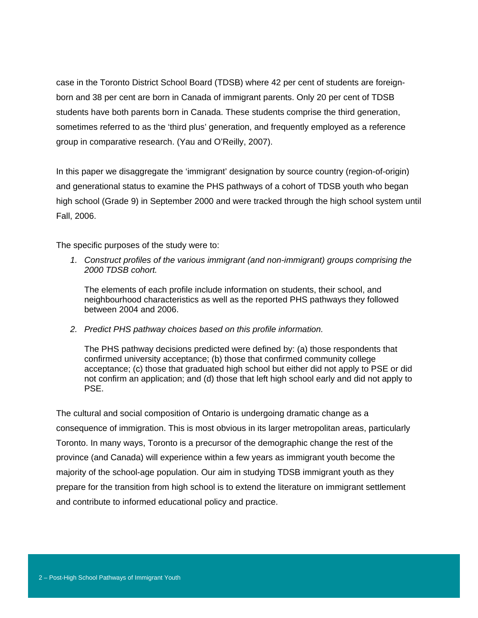case in the Toronto District School Board (TDSB) where 42 per cent of students are foreignborn and 38 per cent are born in Canada of immigrant parents. Only 20 per cent of TDSB students have both parents born in Canada. These students comprise the third generation, sometimes referred to as the 'third plus' generation, and frequently employed as a reference group in comparative research. (Yau and O'Reilly, 2007).

In this paper we disaggregate the 'immigrant' designation by source country (region-of-origin) and generational status to examine the PHS pathways of a cohort of TDSB youth who began high school (Grade 9) in September 2000 and were tracked through the high school system until Fall, 2006.

The specific purposes of the study were to:

*1. Construct profiles of the various immigrant (and non-immigrant) groups comprising the 2000 TDSB cohort.* 

The elements of each profile include information on students, their school, and neighbourhood characteristics as well as the reported PHS pathways they followed between 2004 and 2006.

*2. Predict PHS pathway choices based on this profile information.* 

The PHS pathway decisions predicted were defined by: (a) those respondents that confirmed university acceptance; (b) those that confirmed community college acceptance; (c) those that graduated high school but either did not apply to PSE or did not confirm an application; and (d) those that left high school early and did not apply to PSE.

The cultural and social composition of Ontario is undergoing dramatic change as a consequence of immigration. This is most obvious in its larger metropolitan areas, particularly Toronto. In many ways, Toronto is a precursor of the demographic change the rest of the province (and Canada) will experience within a few years as immigrant youth become the majority of the school-age population. Our aim in studying TDSB immigrant youth as they prepare for the transition from high school is to extend the literature on immigrant settlement and contribute to informed educational policy and practice.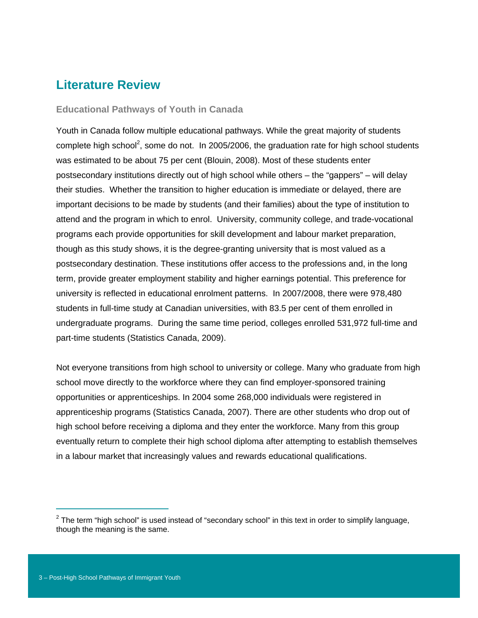# **Literature Review**

#### **Educational Pathways of Youth in Canada**

Youth in Canada follow multiple educational pathways. While the great majority of students complete high school<sup>2</sup>, some do not. In 2005/2006, the graduation rate for high school students was estimated to be about 75 per cent (Blouin, 2008). Most of these students enter postsecondary institutions directly out of high school while others – the "gappers" – will delay their studies. Whether the transition to higher education is immediate or delayed, there are important decisions to be made by students (and their families) about the type of institution to attend and the program in which to enrol. University, community college, and trade-vocational programs each provide opportunities for skill development and labour market preparation, though as this study shows, it is the degree-granting university that is most valued as a postsecondary destination. These institutions offer access to the professions and, in the long term, provide greater employment stability and higher earnings potential. This preference for university is reflected in educational enrolment patterns. In 2007/2008, there were 978,480 students in full-time study at Canadian universities, with 83.5 per cent of them enrolled in undergraduate programs. During the same time period, colleges enrolled 531,972 full-time and part-time students (Statistics Canada, 2009).

Not everyone transitions from high school to university or college. Many who graduate from high school move directly to the workforce where they can find employer-sponsored training opportunities or apprenticeships. In 2004 some 268,000 individuals were registered in apprenticeship programs (Statistics Canada, 2007). There are other students who drop out of high school before receiving a diploma and they enter the workforce. Many from this group eventually return to complete their high school diploma after attempting to establish themselves in a labour market that increasingly values and rewards educational qualifications.

 $\overline{a}$ 

 $2$  The term "high school" is used instead of "secondary school" in this text in order to simplify language, though the meaning is the same.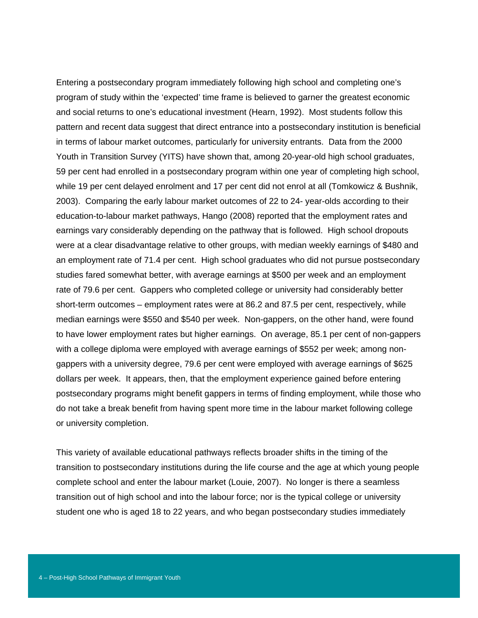Entering a postsecondary program immediately following high school and completing one's program of study within the 'expected' time frame is believed to garner the greatest economic and social returns to one's educational investment (Hearn, 1992). Most students follow this pattern and recent data suggest that direct entrance into a postsecondary institution is beneficial in terms of labour market outcomes, particularly for university entrants. Data from the 2000 Youth in Transition Survey (YITS) have shown that, among 20-year-old high school graduates, 59 per cent had enrolled in a postsecondary program within one year of completing high school, while 19 per cent delayed enrolment and 17 per cent did not enrol at all (Tomkowicz & Bushnik, 2003). Comparing the early labour market outcomes of 22 to 24- year-olds according to their education-to-labour market pathways, Hango (2008) reported that the employment rates and earnings vary considerably depending on the pathway that is followed. High school dropouts were at a clear disadvantage relative to other groups, with median weekly earnings of \$480 and an employment rate of 71.4 per cent. High school graduates who did not pursue postsecondary studies fared somewhat better, with average earnings at \$500 per week and an employment rate of 79.6 per cent. Gappers who completed college or university had considerably better short-term outcomes – employment rates were at 86.2 and 87.5 per cent, respectively, while median earnings were \$550 and \$540 per week. Non-gappers, on the other hand, were found to have lower employment rates but higher earnings. On average, 85.1 per cent of non-gappers with a college diploma were employed with average earnings of \$552 per week; among nongappers with a university degree, 79.6 per cent were employed with average earnings of \$625 dollars per week. It appears, then, that the employment experience gained before entering postsecondary programs might benefit gappers in terms of finding employment, while those who do not take a break benefit from having spent more time in the labour market following college or university completion.

This variety of available educational pathways reflects broader shifts in the timing of the transition to postsecondary institutions during the life course and the age at which young people complete school and enter the labour market (Louie, 2007). No longer is there a seamless transition out of high school and into the labour force; nor is the typical college or university student one who is aged 18 to 22 years, and who began postsecondary studies immediately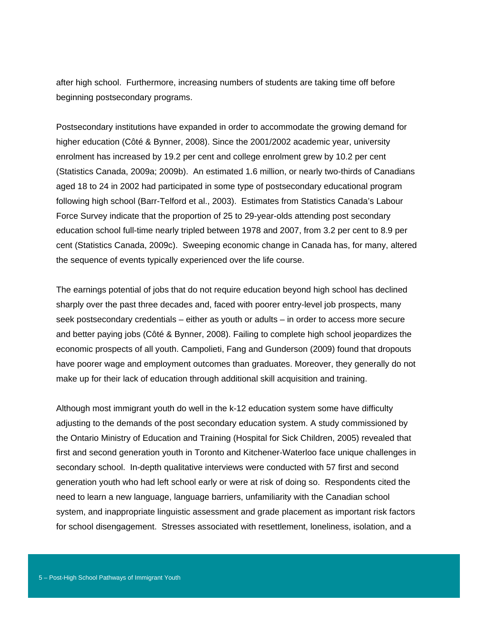after high school. Furthermore, increasing numbers of students are taking time off before beginning postsecondary programs.

Postsecondary institutions have expanded in order to accommodate the growing demand for higher education (Côté & Bynner, 2008). Since the 2001/2002 academic year, university enrolment has increased by 19.2 per cent and college enrolment grew by 10.2 per cent (Statistics Canada, 2009a; 2009b). An estimated 1.6 million, or nearly two-thirds of Canadians aged 18 to 24 in 2002 had participated in some type of postsecondary educational program following high school (Barr-Telford et al., 2003). Estimates from Statistics Canada's Labour Force Survey indicate that the proportion of 25 to 29-year-olds attending post secondary education school full-time nearly tripled between 1978 and 2007, from 3.2 per cent to 8.9 per cent (Statistics Canada, 2009c). Sweeping economic change in Canada has, for many, altered the sequence of events typically experienced over the life course.

The earnings potential of jobs that do not require education beyond high school has declined sharply over the past three decades and, faced with poorer entry-level job prospects, many seek postsecondary credentials – either as youth or adults – in order to access more secure and better paying jobs (Côté & Bynner, 2008). Failing to complete high school jeopardizes the economic prospects of all youth. Campolieti, Fang and Gunderson (2009) found that dropouts have poorer wage and employment outcomes than graduates. Moreover, they generally do not make up for their lack of education through additional skill acquisition and training.

Although most immigrant youth do well in the k-12 education system some have difficulty adjusting to the demands of the post secondary education system. A study commissioned by the Ontario Ministry of Education and Training (Hospital for Sick Children, 2005) revealed that first and second generation youth in Toronto and Kitchener-Waterloo face unique challenges in secondary school. In-depth qualitative interviews were conducted with 57 first and second generation youth who had left school early or were at risk of doing so. Respondents cited the need to learn a new language, language barriers, unfamiliarity with the Canadian school system, and inappropriate linguistic assessment and grade placement as important risk factors for school disengagement. Stresses associated with resettlement, loneliness, isolation, and a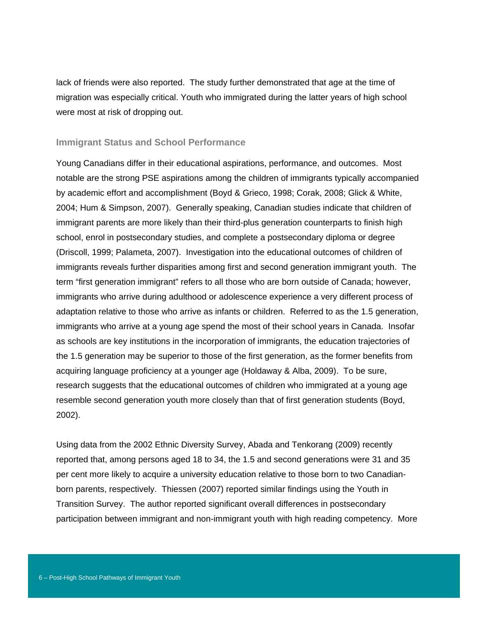lack of friends were also reported. The study further demonstrated that age at the time of migration was especially critical. Youth who immigrated during the latter years of high school were most at risk of dropping out.

#### **Immigrant Status and School Performance**

Young Canadians differ in their educational aspirations, performance, and outcomes. Most notable are the strong PSE aspirations among the children of immigrants typically accompanied by academic effort and accomplishment (Boyd & Grieco, 1998; Corak, 2008; Glick & White, 2004; Hum & Simpson, 2007). Generally speaking, Canadian studies indicate that children of immigrant parents are more likely than their third-plus generation counterparts to finish high school, enrol in postsecondary studies, and complete a postsecondary diploma or degree (Driscoll, 1999; Palameta, 2007). Investigation into the educational outcomes of children of immigrants reveals further disparities among first and second generation immigrant youth. The term "first generation immigrant" refers to all those who are born outside of Canada; however, immigrants who arrive during adulthood or adolescence experience a very different process of adaptation relative to those who arrive as infants or children. Referred to as the 1.5 generation, immigrants who arrive at a young age spend the most of their school years in Canada. Insofar as schools are key institutions in the incorporation of immigrants, the education trajectories of the 1.5 generation may be superior to those of the first generation, as the former benefits from acquiring language proficiency at a younger age (Holdaway & Alba, 2009). To be sure, research suggests that the educational outcomes of children who immigrated at a young age resemble second generation youth more closely than that of first generation students (Boyd, 2002).

Using data from the 2002 Ethnic Diversity Survey, Abada and Tenkorang (2009) recently reported that, among persons aged 18 to 34, the 1.5 and second generations were 31 and 35 per cent more likely to acquire a university education relative to those born to two Canadianborn parents, respectively. Thiessen (2007) reported similar findings using the Youth in Transition Survey. The author reported significant overall differences in postsecondary participation between immigrant and non-immigrant youth with high reading competency. More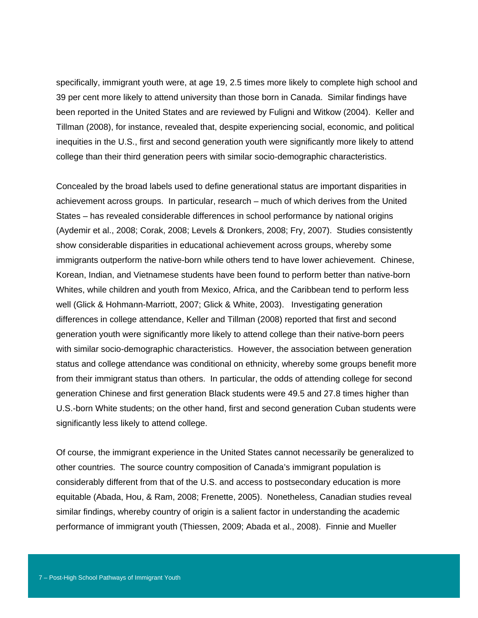specifically, immigrant youth were, at age 19, 2.5 times more likely to complete high school and 39 per cent more likely to attend university than those born in Canada. Similar findings have been reported in the United States and are reviewed by Fuligni and Witkow (2004). Keller and Tillman (2008), for instance, revealed that, despite experiencing social, economic, and political inequities in the U.S., first and second generation youth were significantly more likely to attend college than their third generation peers with similar socio-demographic characteristics.

Concealed by the broad labels used to define generational status are important disparities in achievement across groups. In particular, research – much of which derives from the United States – has revealed considerable differences in school performance by national origins (Aydemir et al., 2008; Corak, 2008; Levels & Dronkers, 2008; Fry, 2007). Studies consistently show considerable disparities in educational achievement across groups, whereby some immigrants outperform the native-born while others tend to have lower achievement. Chinese, Korean, Indian, and Vietnamese students have been found to perform better than native-born Whites, while children and youth from Mexico, Africa, and the Caribbean tend to perform less well (Glick & Hohmann-Marriott, 2007; Glick & White, 2003). Investigating generation differences in college attendance, Keller and Tillman (2008) reported that first and second generation youth were significantly more likely to attend college than their native-born peers with similar socio-demographic characteristics. However, the association between generation status and college attendance was conditional on ethnicity, whereby some groups benefit more from their immigrant status than others. In particular, the odds of attending college for second generation Chinese and first generation Black students were 49.5 and 27.8 times higher than U.S.-born White students; on the other hand, first and second generation Cuban students were significantly less likely to attend college.

Of course, the immigrant experience in the United States cannot necessarily be generalized to other countries. The source country composition of Canada's immigrant population is considerably different from that of the U.S. and access to postsecondary education is more equitable (Abada, Hou, & Ram, 2008; Frenette, 2005). Nonetheless, Canadian studies reveal similar findings, whereby country of origin is a salient factor in understanding the academic performance of immigrant youth (Thiessen, 2009; Abada et al., 2008). Finnie and Mueller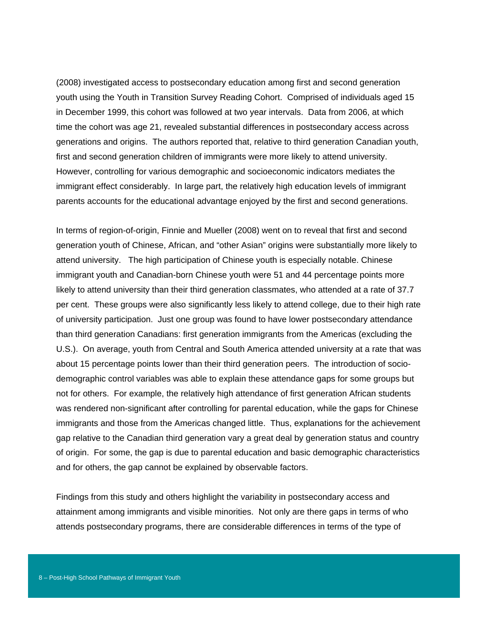(2008) investigated access to postsecondary education among first and second generation youth using the Youth in Transition Survey Reading Cohort. Comprised of individuals aged 15 in December 1999, this cohort was followed at two year intervals. Data from 2006, at which time the cohort was age 21, revealed substantial differences in postsecondary access across generations and origins. The authors reported that, relative to third generation Canadian youth, first and second generation children of immigrants were more likely to attend university. However, controlling for various demographic and socioeconomic indicators mediates the immigrant effect considerably. In large part, the relatively high education levels of immigrant parents accounts for the educational advantage enjoyed by the first and second generations.

In terms of region-of-origin, Finnie and Mueller (2008) went on to reveal that first and second generation youth of Chinese, African, and "other Asian" origins were substantially more likely to attend university. The high participation of Chinese youth is especially notable. Chinese immigrant youth and Canadian-born Chinese youth were 51 and 44 percentage points more likely to attend university than their third generation classmates, who attended at a rate of 37.7 per cent. These groups were also significantly less likely to attend college, due to their high rate of university participation. Just one group was found to have lower postsecondary attendance than third generation Canadians: first generation immigrants from the Americas (excluding the U.S.). On average, youth from Central and South America attended university at a rate that was about 15 percentage points lower than their third generation peers. The introduction of sociodemographic control variables was able to explain these attendance gaps for some groups but not for others. For example, the relatively high attendance of first generation African students was rendered non-significant after controlling for parental education, while the gaps for Chinese immigrants and those from the Americas changed little. Thus, explanations for the achievement gap relative to the Canadian third generation vary a great deal by generation status and country of origin. For some, the gap is due to parental education and basic demographic characteristics and for others, the gap cannot be explained by observable factors.

Findings from this study and others highlight the variability in postsecondary access and attainment among immigrants and visible minorities. Not only are there gaps in terms of who attends postsecondary programs, there are considerable differences in terms of the type of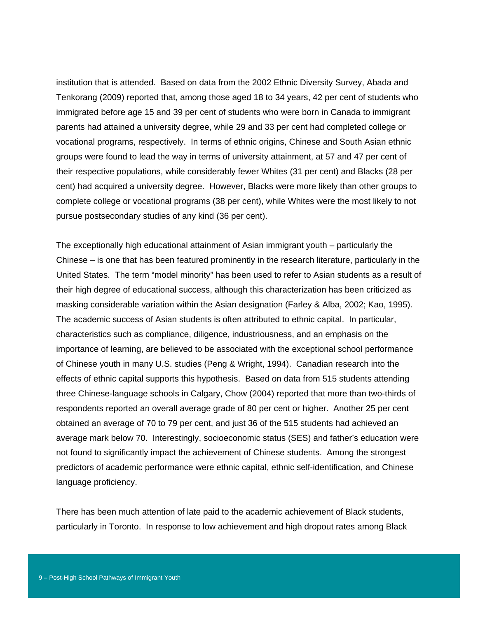institution that is attended. Based on data from the 2002 Ethnic Diversity Survey, Abada and Tenkorang (2009) reported that, among those aged 18 to 34 years, 42 per cent of students who immigrated before age 15 and 39 per cent of students who were born in Canada to immigrant parents had attained a university degree, while 29 and 33 per cent had completed college or vocational programs, respectively. In terms of ethnic origins, Chinese and South Asian ethnic groups were found to lead the way in terms of university attainment, at 57 and 47 per cent of their respective populations, while considerably fewer Whites (31 per cent) and Blacks (28 per cent) had acquired a university degree. However, Blacks were more likely than other groups to complete college or vocational programs (38 per cent), while Whites were the most likely to not pursue postsecondary studies of any kind (36 per cent).

The exceptionally high educational attainment of Asian immigrant youth – particularly the Chinese – is one that has been featured prominently in the research literature, particularly in the United States. The term "model minority" has been used to refer to Asian students as a result of their high degree of educational success, although this characterization has been criticized as masking considerable variation within the Asian designation (Farley & Alba, 2002; Kao, 1995). The academic success of Asian students is often attributed to ethnic capital. In particular, characteristics such as compliance, diligence, industriousness, and an emphasis on the importance of learning, are believed to be associated with the exceptional school performance of Chinese youth in many U.S. studies (Peng & Wright, 1994). Canadian research into the effects of ethnic capital supports this hypothesis. Based on data from 515 students attending three Chinese-language schools in Calgary, Chow (2004) reported that more than two-thirds of respondents reported an overall average grade of 80 per cent or higher. Another 25 per cent obtained an average of 70 to 79 per cent, and just 36 of the 515 students had achieved an average mark below 70. Interestingly, socioeconomic status (SES) and father's education were not found to significantly impact the achievement of Chinese students. Among the strongest predictors of academic performance were ethnic capital, ethnic self-identification, and Chinese language proficiency.

There has been much attention of late paid to the academic achievement of Black students, particularly in Toronto. In response to low achievement and high dropout rates among Black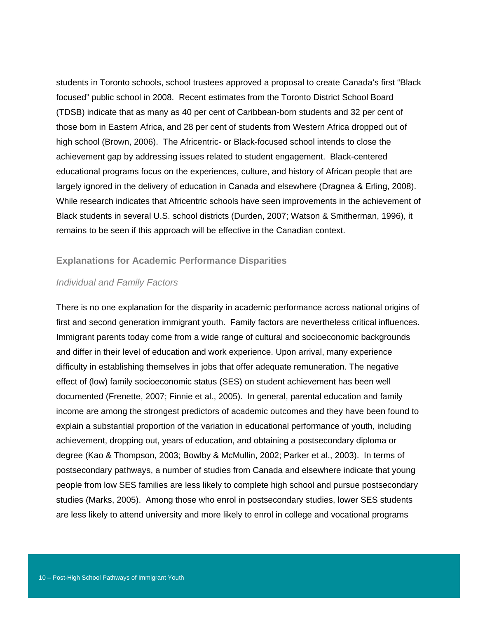students in Toronto schools, school trustees approved a proposal to create Canada's first "Black focused" public school in 2008. Recent estimates from the Toronto District School Board (TDSB) indicate that as many as 40 per cent of Caribbean-born students and 32 per cent of those born in Eastern Africa, and 28 per cent of students from Western Africa dropped out of high school (Brown, 2006). The Africentric- or Black-focused school intends to close the achievement gap by addressing issues related to student engagement. Black-centered educational programs focus on the experiences, culture, and history of African people that are largely ignored in the delivery of education in Canada and elsewhere (Dragnea & Erling, 2008). While research indicates that Africentric schools have seen improvements in the achievement of Black students in several U.S. school districts (Durden, 2007; Watson & Smitherman, 1996), it remains to be seen if this approach will be effective in the Canadian context.

#### **Explanations for Academic Performance Disparities**

#### *Individual and Family Factors*

There is no one explanation for the disparity in academic performance across national origins of first and second generation immigrant youth. Family factors are nevertheless critical influences. Immigrant parents today come from a wide range of cultural and socioeconomic backgrounds and differ in their level of education and work experience. Upon arrival, many experience difficulty in establishing themselves in jobs that offer adequate remuneration. The negative effect of (low) family socioeconomic status (SES) on student achievement has been well documented (Frenette, 2007; Finnie et al., 2005). In general, parental education and family income are among the strongest predictors of academic outcomes and they have been found to explain a substantial proportion of the variation in educational performance of youth, including achievement, dropping out, years of education, and obtaining a postsecondary diploma or degree (Kao & Thompson, 2003; Bowlby & McMullin, 2002; Parker et al., 2003). In terms of postsecondary pathways, a number of studies from Canada and elsewhere indicate that young people from low SES families are less likely to complete high school and pursue postsecondary studies (Marks, 2005). Among those who enrol in postsecondary studies, lower SES students are less likely to attend university and more likely to enrol in college and vocational programs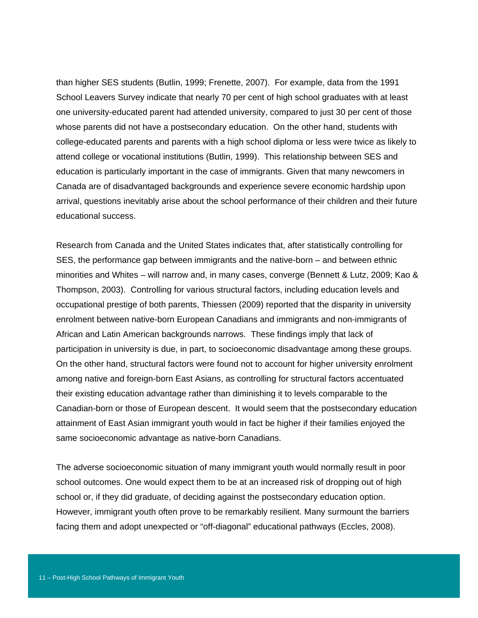than higher SES students (Butlin, 1999; Frenette, 2007). For example, data from the 1991 School Leavers Survey indicate that nearly 70 per cent of high school graduates with at least one university-educated parent had attended university, compared to just 30 per cent of those whose parents did not have a postsecondary education. On the other hand, students with college-educated parents and parents with a high school diploma or less were twice as likely to attend college or vocational institutions (Butlin, 1999). This relationship between SES and education is particularly important in the case of immigrants. Given that many newcomers in Canada are of disadvantaged backgrounds and experience severe economic hardship upon arrival, questions inevitably arise about the school performance of their children and their future educational success.

Research from Canada and the United States indicates that, after statistically controlling for SES, the performance gap between immigrants and the native-born – and between ethnic minorities and Whites – will narrow and, in many cases, converge (Bennett & Lutz, 2009; Kao & Thompson, 2003). Controlling for various structural factors, including education levels and occupational prestige of both parents, Thiessen (2009) reported that the disparity in university enrolment between native-born European Canadians and immigrants and non-immigrants of African and Latin American backgrounds narrows. These findings imply that lack of participation in university is due, in part, to socioeconomic disadvantage among these groups. On the other hand, structural factors were found not to account for higher university enrolment among native and foreign-born East Asians, as controlling for structural factors accentuated their existing education advantage rather than diminishing it to levels comparable to the Canadian-born or those of European descent. It would seem that the postsecondary education attainment of East Asian immigrant youth would in fact be higher if their families enjoyed the same socioeconomic advantage as native-born Canadians.

The adverse socioeconomic situation of many immigrant youth would normally result in poor school outcomes. One would expect them to be at an increased risk of dropping out of high school or, if they did graduate, of deciding against the postsecondary education option. However, immigrant youth often prove to be remarkably resilient. Many surmount the barriers facing them and adopt unexpected or "off-diagonal" educational pathways (Eccles, 2008).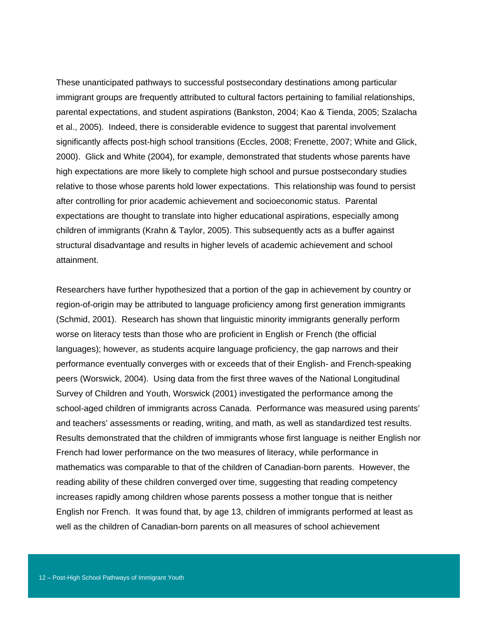These unanticipated pathways to successful postsecondary destinations among particular immigrant groups are frequently attributed to cultural factors pertaining to familial relationships, parental expectations, and student aspirations (Bankston, 2004; Kao & Tienda, 2005; Szalacha et al., 2005). Indeed, there is considerable evidence to suggest that parental involvement significantly affects post-high school transitions (Eccles, 2008; Frenette, 2007; White and Glick, 2000). Glick and White (2004), for example, demonstrated that students whose parents have high expectations are more likely to complete high school and pursue postsecondary studies relative to those whose parents hold lower expectations. This relationship was found to persist after controlling for prior academic achievement and socioeconomic status. Parental expectations are thought to translate into higher educational aspirations, especially among children of immigrants (Krahn & Taylor, 2005). This subsequently acts as a buffer against structural disadvantage and results in higher levels of academic achievement and school attainment.

Researchers have further hypothesized that a portion of the gap in achievement by country or region-of-origin may be attributed to language proficiency among first generation immigrants (Schmid, 2001). Research has shown that linguistic minority immigrants generally perform worse on literacy tests than those who are proficient in English or French (the official languages); however, as students acquire language proficiency, the gap narrows and their performance eventually converges with or exceeds that of their English- and French-speaking peers (Worswick, 2004). Using data from the first three waves of the National Longitudinal Survey of Children and Youth, Worswick (2001) investigated the performance among the school-aged children of immigrants across Canada. Performance was measured using parents' and teachers' assessments or reading, writing, and math, as well as standardized test results. Results demonstrated that the children of immigrants whose first language is neither English nor French had lower performance on the two measures of literacy, while performance in mathematics was comparable to that of the children of Canadian-born parents. However, the reading ability of these children converged over time, suggesting that reading competency increases rapidly among children whose parents possess a mother tongue that is neither English nor French. It was found that, by age 13, children of immigrants performed at least as well as the children of Canadian-born parents on all measures of school achievement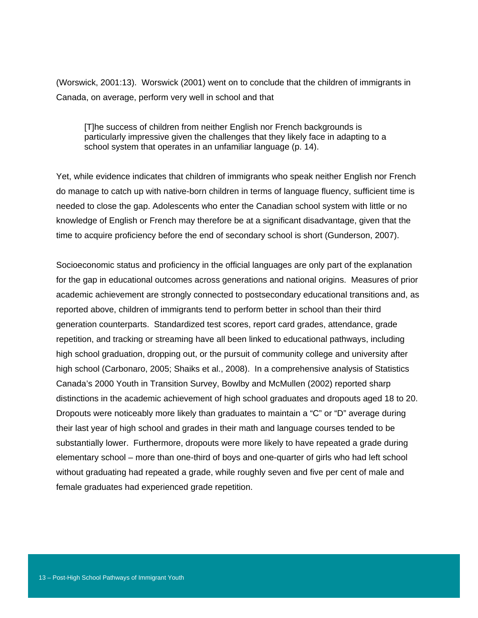(Worswick, 2001:13). Worswick (2001) went on to conclude that the children of immigrants in Canada, on average, perform very well in school and that

[T]he success of children from neither English nor French backgrounds is particularly impressive given the challenges that they likely face in adapting to a school system that operates in an unfamiliar language (p. 14).

Yet, while evidence indicates that children of immigrants who speak neither English nor French do manage to catch up with native-born children in terms of language fluency, sufficient time is needed to close the gap. Adolescents who enter the Canadian school system with little or no knowledge of English or French may therefore be at a significant disadvantage, given that the time to acquire proficiency before the end of secondary school is short (Gunderson, 2007).

Socioeconomic status and proficiency in the official languages are only part of the explanation for the gap in educational outcomes across generations and national origins. Measures of prior academic achievement are strongly connected to postsecondary educational transitions and, as reported above, children of immigrants tend to perform better in school than their third generation counterparts. Standardized test scores, report card grades, attendance, grade repetition, and tracking or streaming have all been linked to educational pathways, including high school graduation, dropping out, or the pursuit of community college and university after high school (Carbonaro, 2005; Shaiks et al., 2008). In a comprehensive analysis of Statistics Canada's 2000 Youth in Transition Survey, Bowlby and McMullen (2002) reported sharp distinctions in the academic achievement of high school graduates and dropouts aged 18 to 20. Dropouts were noticeably more likely than graduates to maintain a "C" or "D" average during their last year of high school and grades in their math and language courses tended to be substantially lower. Furthermore, dropouts were more likely to have repeated a grade during elementary school – more than one-third of boys and one-quarter of girls who had left school without graduating had repeated a grade, while roughly seven and five per cent of male and female graduates had experienced grade repetition.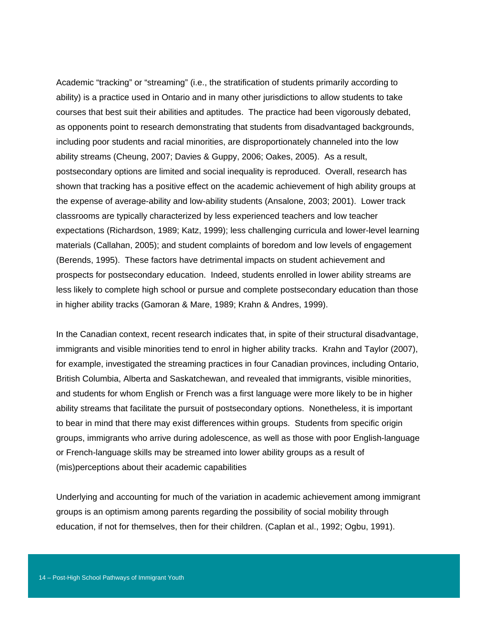Academic "tracking" or "streaming" (i.e., the stratification of students primarily according to ability) is a practice used in Ontario and in many other jurisdictions to allow students to take courses that best suit their abilities and aptitudes. The practice had been vigorously debated, as opponents point to research demonstrating that students from disadvantaged backgrounds, including poor students and racial minorities, are disproportionately channeled into the low ability streams (Cheung, 2007; Davies & Guppy, 2006; Oakes, 2005). As a result, postsecondary options are limited and social inequality is reproduced. Overall, research has shown that tracking has a positive effect on the academic achievement of high ability groups at the expense of average-ability and low-ability students (Ansalone, 2003; 2001). Lower track classrooms are typically characterized by less experienced teachers and low teacher expectations (Richardson, 1989; Katz, 1999); less challenging curricula and lower-level learning materials (Callahan, 2005); and student complaints of boredom and low levels of engagement (Berends, 1995). These factors have detrimental impacts on student achievement and prospects for postsecondary education. Indeed, students enrolled in lower ability streams are less likely to complete high school or pursue and complete postsecondary education than those in higher ability tracks (Gamoran & Mare, 1989; Krahn & Andres, 1999).

In the Canadian context, recent research indicates that, in spite of their structural disadvantage, immigrants and visible minorities tend to enrol in higher ability tracks. Krahn and Taylor (2007), for example, investigated the streaming practices in four Canadian provinces, including Ontario, British Columbia, Alberta and Saskatchewan, and revealed that immigrants, visible minorities, and students for whom English or French was a first language were more likely to be in higher ability streams that facilitate the pursuit of postsecondary options. Nonetheless, it is important to bear in mind that there may exist differences within groups. Students from specific origin groups, immigrants who arrive during adolescence, as well as those with poor English-language or French-language skills may be streamed into lower ability groups as a result of (mis)perceptions about their academic capabilities

Underlying and accounting for much of the variation in academic achievement among immigrant groups is an optimism among parents regarding the possibility of social mobility through education, if not for themselves, then for their children. (Caplan et al., 1992; Ogbu, 1991).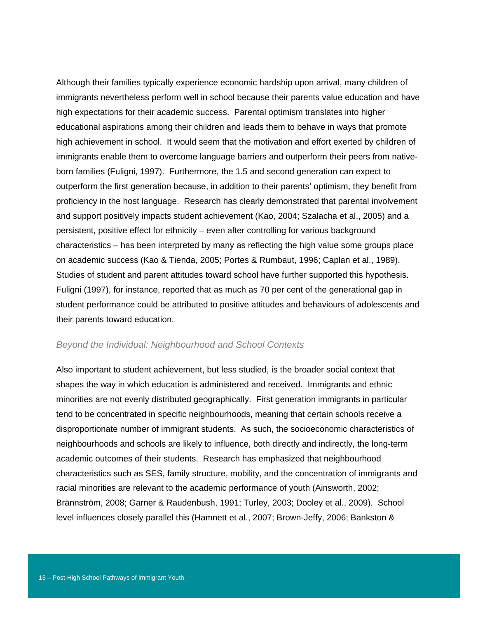Although their families typically experience economic hardship upon arrival, many children of immigrants nevertheless perform well in school because their parents value education and have high expectations for their academic success. Parental optimism translates into higher educational aspirations among their children and leads them to behave in ways that promote high achievement in school. It would seem that the motivation and effort exerted by children of immigrants enable them to overcome language barriers and outperform their peers from nativeborn families (Fuligni, 1997). Furthermore, the 1.5 and second generation can expect to outperform the first generation because, in addition to their parents' optimism, they benefit from proficiency in the host language. Research has clearly demonstrated that parental involvement and support positively impacts student achievement (Kao, 2004; Szalacha et al., 2005) and a persistent, positive effect for ethnicity – even after controlling for various background characteristics – has been interpreted by many as reflecting the high value some groups place on academic success (Kao & Tienda, 2005; Portes & Rumbaut, 1996; Caplan et al., 1989). Studies of student and parent attitudes toward school have further supported this hypothesis. Fuligni (1997), for instance, reported that as much as 70 per cent of the generational gap in student performance could be attributed to positive attitudes and behaviours of adolescents and their parents toward education.

#### *Beyond the Individual: Neighbourhood and School Contexts*

Also important to student achievement, but less studied, is the broader social context that shapes the way in which education is administered and received. Immigrants and ethnic minorities are not evenly distributed geographically. First generation immigrants in particular tend to be concentrated in specific neighbourhoods, meaning that certain schools receive a disproportionate number of immigrant students. As such, the socioeconomic characteristics of neighbourhoods and schools are likely to influence, both directly and indirectly, the long-term academic outcomes of their students. Research has emphasized that neighbourhood characteristics such as SES, family structure, mobility, and the concentration of immigrants and racial minorities are relevant to the academic performance of youth (Ainsworth, 2002; Brännström, 2008; Garner & Raudenbush, 1991; Turley, 2003; Dooley et al., 2009). School level influences closely parallel this (Hamnett et al., 2007; Brown-Jeffy, 2006; Bankston &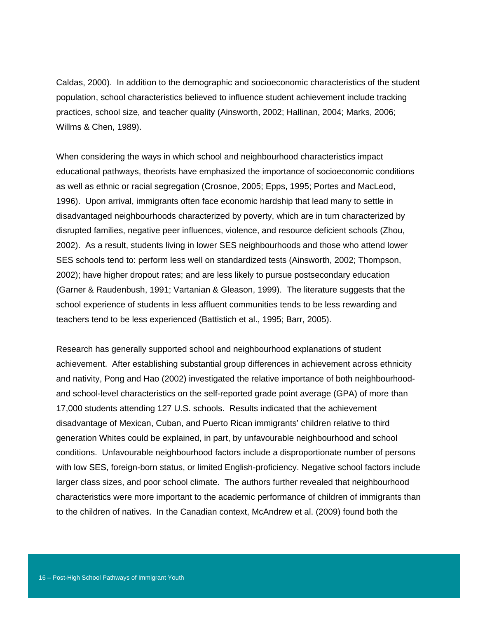Caldas, 2000). In addition to the demographic and socioeconomic characteristics of the student population, school characteristics believed to influence student achievement include tracking practices, school size, and teacher quality (Ainsworth, 2002; Hallinan, 2004; Marks, 2006; Willms & Chen, 1989).

When considering the ways in which school and neighbourhood characteristics impact educational pathways, theorists have emphasized the importance of socioeconomic conditions as well as ethnic or racial segregation (Crosnoe, 2005; Epps, 1995; Portes and MacLeod, 1996). Upon arrival, immigrants often face economic hardship that lead many to settle in disadvantaged neighbourhoods characterized by poverty, which are in turn characterized by disrupted families, negative peer influences, violence, and resource deficient schools (Zhou, 2002). As a result, students living in lower SES neighbourhoods and those who attend lower SES schools tend to: perform less well on standardized tests (Ainsworth, 2002; Thompson, 2002); have higher dropout rates; and are less likely to pursue postsecondary education (Garner & Raudenbush, 1991; Vartanian & Gleason, 1999). The literature suggests that the school experience of students in less affluent communities tends to be less rewarding and teachers tend to be less experienced (Battistich et al., 1995; Barr, 2005).

Research has generally supported school and neighbourhood explanations of student achievement. After establishing substantial group differences in achievement across ethnicity and nativity, Pong and Hao (2002) investigated the relative importance of both neighbourhoodand school-level characteristics on the self-reported grade point average (GPA) of more than 17,000 students attending 127 U.S. schools. Results indicated that the achievement disadvantage of Mexican, Cuban, and Puerto Rican immigrants' children relative to third generation Whites could be explained, in part, by unfavourable neighbourhood and school conditions. Unfavourable neighbourhood factors include a disproportionate number of persons with low SES, foreign-born status, or limited English-proficiency. Negative school factors include larger class sizes, and poor school climate. The authors further revealed that neighbourhood characteristics were more important to the academic performance of children of immigrants than to the children of natives. In the Canadian context, McAndrew et al. (2009) found both the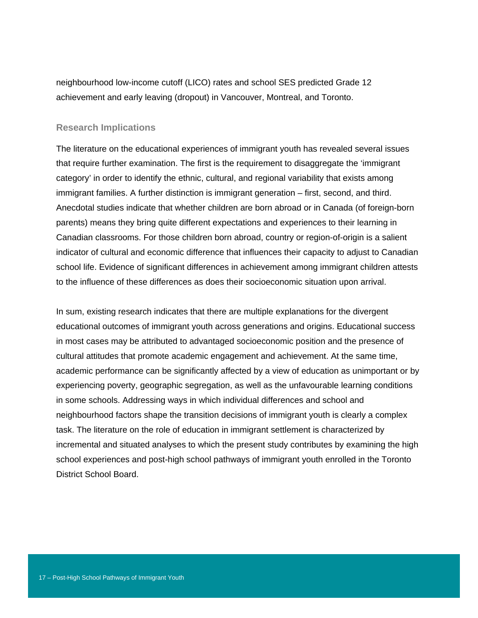neighbourhood low-income cutoff (LICO) rates and school SES predicted Grade 12 achievement and early leaving (dropout) in Vancouver, Montreal, and Toronto.

#### **Research Implications**

The literature on the educational experiences of immigrant youth has revealed several issues that require further examination. The first is the requirement to disaggregate the 'immigrant category' in order to identify the ethnic, cultural, and regional variability that exists among immigrant families. A further distinction is immigrant generation – first, second, and third. Anecdotal studies indicate that whether children are born abroad or in Canada (of foreign-born parents) means they bring quite different expectations and experiences to their learning in Canadian classrooms. For those children born abroad, country or region-of-origin is a salient indicator of cultural and economic difference that influences their capacity to adjust to Canadian school life. Evidence of significant differences in achievement among immigrant children attests to the influence of these differences as does their socioeconomic situation upon arrival.

In sum, existing research indicates that there are multiple explanations for the divergent educational outcomes of immigrant youth across generations and origins. Educational success in most cases may be attributed to advantaged socioeconomic position and the presence of cultural attitudes that promote academic engagement and achievement. At the same time, academic performance can be significantly affected by a view of education as unimportant or by experiencing poverty, geographic segregation, as well as the unfavourable learning conditions in some schools. Addressing ways in which individual differences and school and neighbourhood factors shape the transition decisions of immigrant youth is clearly a complex task. The literature on the role of education in immigrant settlement is characterized by incremental and situated analyses to which the present study contributes by examining the high school experiences and post-high school pathways of immigrant youth enrolled in the Toronto District School Board.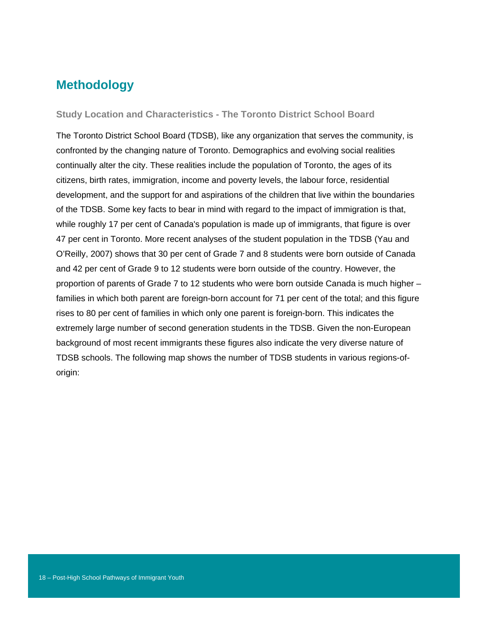## **Methodology**

**Study Location and Characteristics - The Toronto District School Board** 

The Toronto District School Board (TDSB), like any organization that serves the community, is confronted by the changing nature of Toronto. Demographics and evolving social realities continually alter the city. These realities include the population of Toronto, the ages of its citizens, birth rates, immigration, income and poverty levels, the labour force, residential development, and the support for and aspirations of the children that live within the boundaries of the TDSB. Some key facts to bear in mind with regard to the impact of immigration is that, while roughly 17 per cent of Canada's population is made up of immigrants, that figure is over 47 per cent in Toronto. More recent analyses of the student population in the TDSB (Yau and O'Reilly, 2007) shows that 30 per cent of Grade 7 and 8 students were born outside of Canada and 42 per cent of Grade 9 to 12 students were born outside of the country. However, the proportion of parents of Grade 7 to 12 students who were born outside Canada is much higher – families in which both parent are foreign-born account for 71 per cent of the total; and this figure rises to 80 per cent of families in which only one parent is foreign-born. This indicates the extremely large number of second generation students in the TDSB. Given the non-European background of most recent immigrants these figures also indicate the very diverse nature of TDSB schools. The following map shows the number of TDSB students in various regions-oforigin: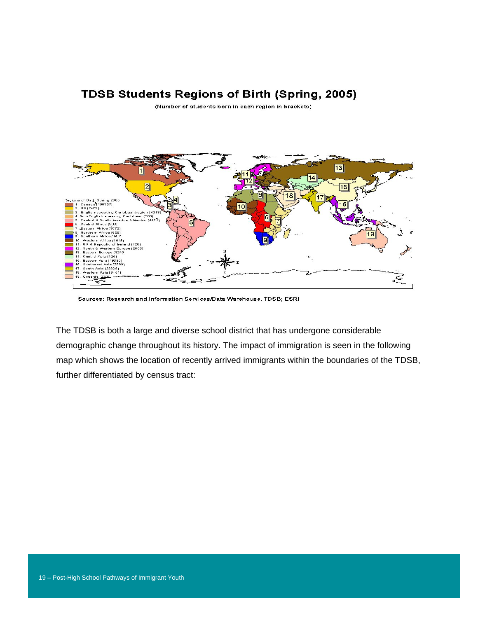### **TDSB Students Regions of Birth (Spring, 2005)**

(Number of students born in each region in brackets)



Sources: Research and Information Services/Data Warehouse, TDSB; ESRI

The TDSB is both a large and diverse school district that has undergone considerable demographic change throughout its history. The impact of immigration is seen in the following map which shows the location of recently arrived immigrants within the boundaries of the TDSB, further differentiated by census tract: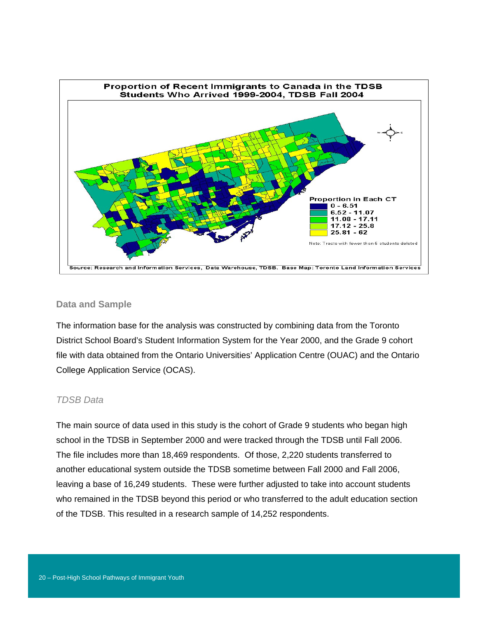

#### **Data and Sample**

The information base for the analysis was constructed by combining data from the Toronto District School Board's Student Information System for the Year 2000, and the Grade 9 cohort file with data obtained from the Ontario Universities' Application Centre (OUAC) and the Ontario College Application Service (OCAS).

#### *TDSB Data*

The main source of data used in this study is the cohort of Grade 9 students who began high school in the TDSB in September 2000 and were tracked through the TDSB until Fall 2006. The file includes more than 18,469 respondents. Of those, 2,220 students transferred to another educational system outside the TDSB sometime between Fall 2000 and Fall 2006, leaving a base of 16,249 students. These were further adjusted to take into account students who remained in the TDSB beyond this period or who transferred to the adult education section of the TDSB. This resulted in a research sample of 14,252 respondents.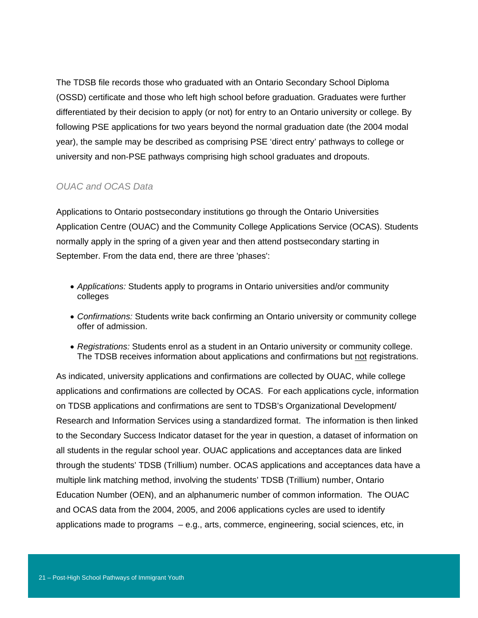The TDSB file records those who graduated with an Ontario Secondary School Diploma (OSSD) certificate and those who left high school before graduation. Graduates were further differentiated by their decision to apply (or not) for entry to an Ontario university or college. By following PSE applications for two years beyond the normal graduation date (the 2004 modal year), the sample may be described as comprising PSE 'direct entry' pathways to college or university and non-PSE pathways comprising high school graduates and dropouts.

#### *OUAC and OCAS Data*

Applications to Ontario postsecondary institutions go through the Ontario Universities Application Centre (OUAC) and the Community College Applications Service (OCAS). Students normally apply in the spring of a given year and then attend postsecondary starting in September. From the data end, there are three 'phases':

- *Applications:* Students apply to programs in Ontario universities and/or community colleges
- *Confirmations:* Students write back confirming an Ontario university or community college offer of admission.
- *Registrations:* Students enrol as a student in an Ontario university or community college. The TDSB receives information about applications and confirmations but not registrations.

As indicated, university applications and confirmations are collected by OUAC, while college applications and confirmations are collected by OCAS. For each applications cycle, information on TDSB applications and confirmations are sent to TDSB's Organizational Development/ Research and Information Services using a standardized format. The information is then linked to the Secondary Success Indicator dataset for the year in question, a dataset of information on all students in the regular school year. OUAC applications and acceptances data are linked through the students' TDSB (Trillium) number. OCAS applications and acceptances data have a multiple link matching method, involving the students' TDSB (Trillium) number, Ontario Education Number (OEN), and an alphanumeric number of common information. The OUAC and OCAS data from the 2004, 2005, and 2006 applications cycles are used to identify applications made to programs – e.g., arts, commerce, engineering, social sciences, etc, in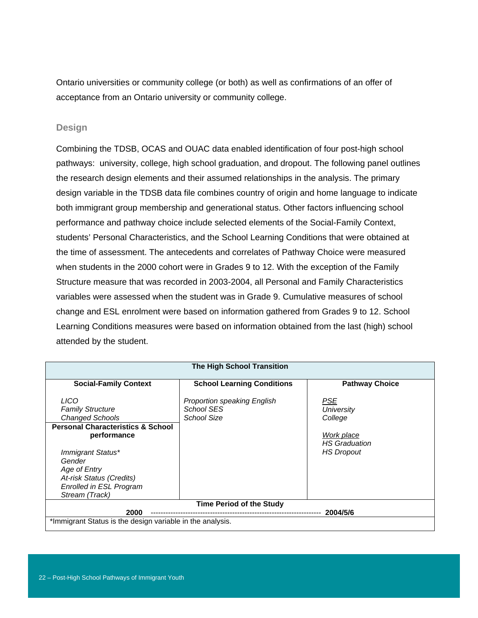Ontario universities or community college (or both) as well as confirmations of an offer of acceptance from an Ontario university or community college.

#### **Design**

Combining the TDSB, OCAS and OUAC data enabled identification of four post-high school pathways: university, college, high school graduation, and dropout. The following panel outlines the research design elements and their assumed relationships in the analysis. The primary design variable in the TDSB data file combines country of origin and home language to indicate both immigrant group membership and generational status. Other factors influencing school performance and pathway choice include selected elements of the Social-Family Context, students' Personal Characteristics, and the School Learning Conditions that were obtained at the time of assessment. The antecedents and correlates of Pathway Choice were measured when students in the 2000 cohort were in Grades 9 to 12. With the exception of the Family Structure measure that was recorded in 2003-2004, all Personal and Family Characteristics variables were assessed when the student was in Grade 9. Cumulative measures of school change and ESL enrolment were based on information gathered from Grades 9 to 12. School Learning Conditions measures were based on information obtained from the last (high) school attended by the student.

| <b>The High School Transition</b>                                                                                                                                                                                                                       |                                                                        |                                                                                                       |  |  |  |  |  |  |
|---------------------------------------------------------------------------------------------------------------------------------------------------------------------------------------------------------------------------------------------------------|------------------------------------------------------------------------|-------------------------------------------------------------------------------------------------------|--|--|--|--|--|--|
| <b>Social-Family Context</b>                                                                                                                                                                                                                            | <b>School Learning Conditions</b>                                      | <b>Pathway Choice</b>                                                                                 |  |  |  |  |  |  |
| LICO<br><b>Family Structure</b><br><b>Changed Schools</b><br><b>Personal Characteristics &amp; School</b><br>performance<br>Immigrant Status*<br>Gender<br>Age of Entry<br>At-risk Status (Credits)<br><b>Enrolled in ESL Program</b><br>Stream (Track) | <b>Proportion speaking English</b><br>School SES<br><b>School Size</b> | <b>PSE</b><br><b>University</b><br>College<br>Work place<br><b>HS</b> Graduation<br><b>HS Dropout</b> |  |  |  |  |  |  |
| <b>Time Period of the Study</b><br>2000<br>2004/5/6                                                                                                                                                                                                     |                                                                        |                                                                                                       |  |  |  |  |  |  |
| *Immigrant Status is the design variable in the analysis.                                                                                                                                                                                               |                                                                        |                                                                                                       |  |  |  |  |  |  |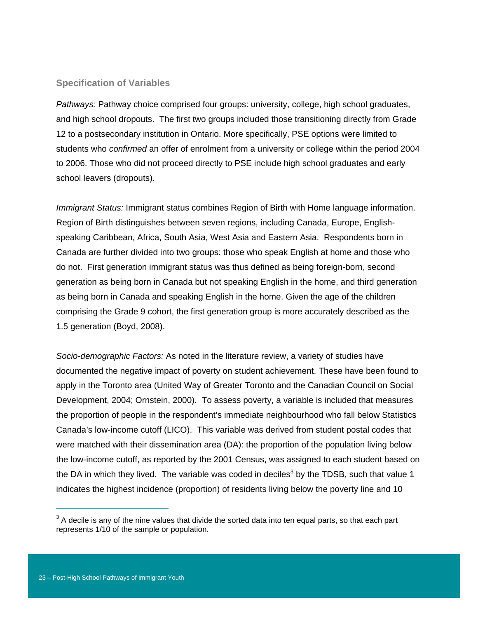#### **Specification of Variables**

*Pathways:* Pathway choice comprised four groups: university, college, high school graduates, and high school dropouts. The first two groups included those transitioning directly from Grade 12 to a postsecondary institution in Ontario. More specifically, PSE options were limited to students who *confirmed* an offer of enrolment from a university or college within the period 2004 to 2006. Those who did not proceed directly to PSE include high school graduates and early school leavers (dropouts).

*Immigrant Status:* Immigrant status combines Region of Birth with Home language information. Region of Birth distinguishes between seven regions, including Canada, Europe, Englishspeaking Caribbean, Africa, South Asia, West Asia and Eastern Asia. Respondents born in Canada are further divided into two groups: those who speak English at home and those who do not. First generation immigrant status was thus defined as being foreign-born, second generation as being born in Canada but not speaking English in the home, and third generation as being born in Canada and speaking English in the home. Given the age of the children comprising the Grade 9 cohort, the first generation group is more accurately described as the 1.5 generation (Boyd, 2008).

*Socio-demographic Factors:* As noted in the literature review, a variety of studies have documented the negative impact of poverty on student achievement. These have been found to apply in the Toronto area (United Way of Greater Toronto and the Canadian Council on Social Development, 2004; Ornstein, 2000). To assess poverty, a variable is included that measures the proportion of people in the respondent's immediate neighbourhood who fall below Statistics Canada's low-income cutoff (LICO). This variable was derived from student postal codes that were matched with their dissemination area (DA): the proportion of the population living below the low-income cutoff, as reported by the 2001 Census, was assigned to each student based on the DA in which they lived. The variable was coded in deciles<sup>3</sup> by the TDSB, such that value 1 indicates the highest incidence (proportion) of residents living below the poverty line and 10

 $\overline{a}$ 

 $3$  A decile is any of the nine values that divide the sorted data into ten equal parts, so that each part represents 1/10 of the sample or population.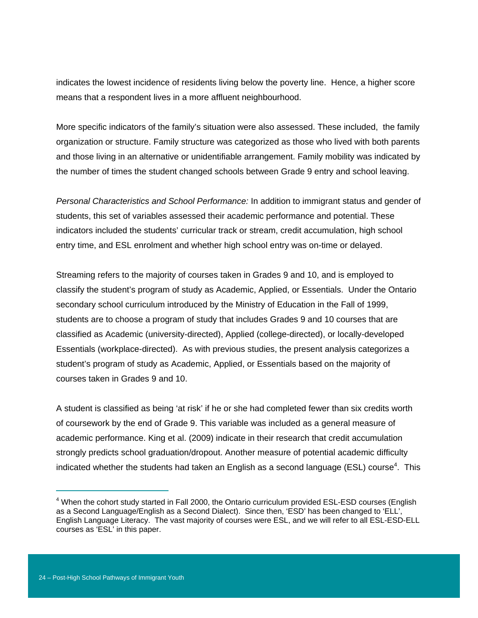indicates the lowest incidence of residents living below the poverty line. Hence, a higher score means that a respondent lives in a more affluent neighbourhood.

More specific indicators of the family's situation were also assessed. These included, the family organization or structure. Family structure was categorized as those who lived with both parents and those living in an alternative or unidentifiable arrangement. Family mobility was indicated by the number of times the student changed schools between Grade 9 entry and school leaving.

*Personal Characteristics and School Performance:* In addition to immigrant status and gender of students, this set of variables assessed their academic performance and potential. These indicators included the students' curricular track or stream, credit accumulation, high school entry time, and ESL enrolment and whether high school entry was on-time or delayed.

Streaming refers to the majority of courses taken in Grades 9 and 10, and is employed to classify the student's program of study as Academic, Applied, or Essentials. Under the Ontario secondary school curriculum introduced by the Ministry of Education in the Fall of 1999, students are to choose a program of study that includes Grades 9 and 10 courses that are classified as Academic (university-directed), Applied (college-directed), or locally-developed Essentials (workplace-directed). As with previous studies, the present analysis categorizes a student's program of study as Academic, Applied, or Essentials based on the majority of courses taken in Grades 9 and 10.

A student is classified as being 'at risk' if he or she had completed fewer than six credits worth of coursework by the end of Grade 9. This variable was included as a general measure of academic performance. King et al. (2009) indicate in their research that credit accumulation strongly predicts school graduation/dropout. Another measure of potential academic difficulty indicated whether the students had taken an English as a second language (ESL) course<sup>4</sup>. This

 $\overline{a}$ 

<sup>&</sup>lt;sup>4</sup> When the cohort study started in Fall 2000, the Ontario curriculum provided ESL-ESD courses (English as a Second Language/English as a Second Dialect). Since then, 'ESD' has been changed to 'ELL', English Language Literacy. The vast majority of courses were ESL, and we will refer to all ESL-ESD-ELL courses as 'ESL' in this paper.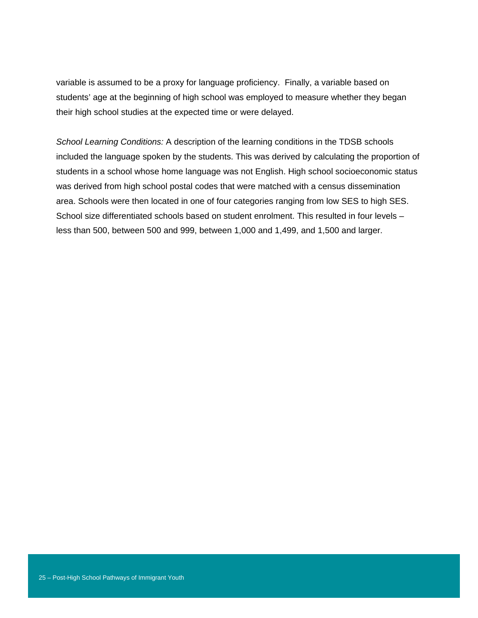variable is assumed to be a proxy for language proficiency. Finally, a variable based on students' age at the beginning of high school was employed to measure whether they began their high school studies at the expected time or were delayed.

*School Learning Conditions:* A description of the learning conditions in the TDSB schools included the language spoken by the students. This was derived by calculating the proportion of students in a school whose home language was not English. High school socioeconomic status was derived from high school postal codes that were matched with a census dissemination area. Schools were then located in one of four categories ranging from low SES to high SES. School size differentiated schools based on student enrolment. This resulted in four levels – less than 500, between 500 and 999, between 1,000 and 1,499, and 1,500 and larger.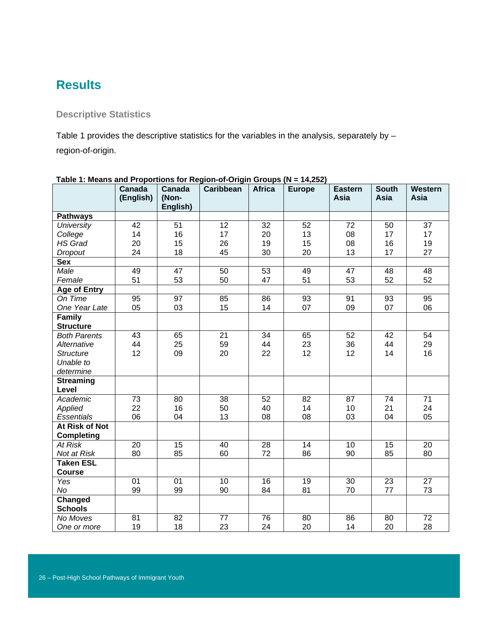# **Results**

### **Descriptive Statistics**

Table 1 provides the descriptive statistics for the variables in the analysis, separately by region-of-origin.

|                                     | <b>Canada</b>   | Canada            | Caribbean       | <b>Africa</b>   | <b>Europe</b>   | <b>Eastern</b>  | <b>South</b>    | Western         |
|-------------------------------------|-----------------|-------------------|-----------------|-----------------|-----------------|-----------------|-----------------|-----------------|
|                                     | (English)       | (Non-<br>English) |                 |                 |                 | Asia            | Asia            | Asia            |
| <b>Pathways</b>                     |                 |                   |                 |                 |                 |                 |                 |                 |
| <b>University</b>                   | $\overline{42}$ | $\overline{51}$   | $\overline{12}$ | $\overline{32}$ | $\overline{52}$ | $\overline{72}$ | 50              | $\overline{37}$ |
| College                             | 14              | 16                | 17              | 20              | 13              | 08              | 17              | 17              |
| <b>HS Grad</b>                      | 20              | 15                | 26              | 19              | 15              | 08              | 16              | 19              |
| <b>Dropout</b>                      | 24              | 18                | 45              | 30              | 20              | 13              | 17              | 27              |
| <b>Sex</b>                          |                 |                   |                 |                 |                 |                 |                 |                 |
| Male                                | 49              | 47                | $\overline{50}$ | $\overline{53}$ | 49              | 47              | 48              | $\overline{48}$ |
| Female                              | 51              | 53                | 50              | 47              | 51              | 53              | 52              | 52              |
| <b>Age of Entry</b>                 |                 |                   |                 |                 |                 |                 |                 |                 |
| On Time                             | 95              | 97                | 85              | $\overline{86}$ | 93              | $\overline{91}$ | $\overline{93}$ | $\overline{95}$ |
| One Year Late                       | 05              | 03                | 15              | 14              | 07              | 09              | 07              | 06              |
| Family                              |                 |                   |                 |                 |                 |                 |                 |                 |
| <b>Structure</b>                    |                 |                   |                 |                 |                 |                 |                 |                 |
| <b>Both Parents</b>                 | 43              | 65                | 21              | 34              | 65              | 52              | 42              | 54              |
| Alternative                         | 44              | 25                | 59              | 44              | 23              | 36              | 44              | 29              |
| <b>Structure</b>                    | 12              | 09                | 20              | 22              | 12              | 12              | 14              | 16              |
| Unable to                           |                 |                   |                 |                 |                 |                 |                 |                 |
| determine                           |                 |                   |                 |                 |                 |                 |                 |                 |
| <b>Streaming</b>                    |                 |                   |                 |                 |                 |                 |                 |                 |
| Level                               |                 |                   |                 |                 |                 |                 |                 |                 |
| Academic                            | 73              | 80                | 38              | 52              | 82              | 87              | 74              | 71              |
| Applied                             | 22              | 16                | 50              | 40              | 14              | 10              | 21              | 24              |
| <b>Essentials</b>                   | 06              | 04                | 13              | 08              | 08              | 03              | 04              | 05              |
| At Risk of Not                      |                 |                   |                 |                 |                 |                 |                 |                 |
| <b>Completing</b><br><b>At Risk</b> | $\overline{20}$ | $\overline{15}$   | 40              | 28              | $\overline{14}$ | 10              | 15              | 20              |
| Not at Risk                         | 80              | 85                | 60              | 72              | 86              | 90              | 85              | 80              |
| <b>Taken ESL</b>                    |                 |                   |                 |                 |                 |                 |                 |                 |
| <b>Course</b>                       |                 |                   |                 |                 |                 |                 |                 |                 |
| Yes                                 | 01              | 01                | 10              | 16              | 19              | $\overline{30}$ | 23              | $\overline{27}$ |
| No                                  | 99              | 99                | 90              | 84              | 81              | 70              | 77              | 73              |
| Changed                             |                 |                   |                 |                 |                 |                 |                 |                 |
| <b>Schools</b>                      |                 |                   |                 |                 |                 |                 |                 |                 |
| No Moves                            | 81              | 82                | 77              | 76              | 80              | 86              | 80              | 72              |
| One or more                         | 19              | 18                | 23              | 24              | 20              | 14              | 20              | 28              |

#### **Table 1: Means and Proportions for Region-of-Origin Groups (N = 14,252)**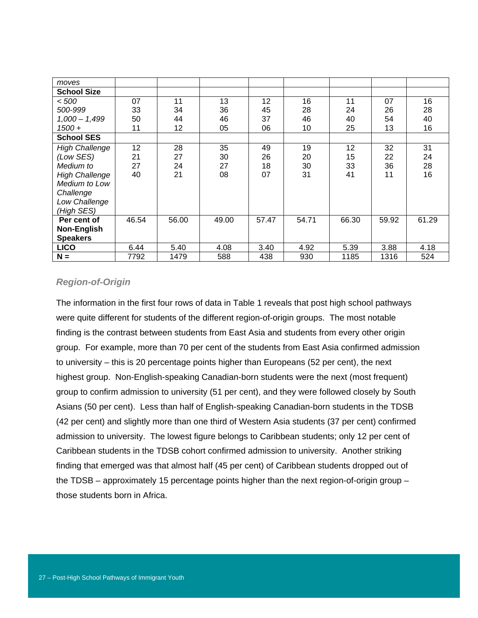| moves                 |       |       |       |       |       |       |       |       |
|-----------------------|-------|-------|-------|-------|-------|-------|-------|-------|
| <b>School Size</b>    |       |       |       |       |       |       |       |       |
| < 500                 | 07    | 11    | 13    | 12    | 16    | 11    | 07    | 16    |
| 500-999               | 33    | 34    | 36    | 45    | 28    | 24    | 26    | 28    |
| $1,000 - 1,499$       | 50    | 44    | 46    | 37    | 46    | 40    | 54    | 40    |
| $1500 +$              | 11    | 12    | 05    | 06    | 10    | 25    | 13    | 16    |
| <b>School SES</b>     |       |       |       |       |       |       |       |       |
| <b>High Challenge</b> | 12    | 28    | 35    | 49    | 19    | 12    | 32    | 31    |
| (Low SES)             | 21    | 27    | 30    | 26    | 20    | 15    | 22    | 24    |
| Medium to             | 27    | 24    | 27    | 18    | 30    | 33    | 36    | 28    |
| <b>High Challenge</b> | 40    | 21    | 08    | 07    | 31    | 41    | 11    | 16    |
| Medium to Low         |       |       |       |       |       |       |       |       |
| Challenge             |       |       |       |       |       |       |       |       |
| Low Challenge         |       |       |       |       |       |       |       |       |
| (High SES)            |       |       |       |       |       |       |       |       |
| Per cent of           | 46.54 | 56.00 | 49.00 | 57.47 | 54.71 | 66.30 | 59.92 | 61.29 |
| <b>Non-English</b>    |       |       |       |       |       |       |       |       |
| <b>Speakers</b>       |       |       |       |       |       |       |       |       |
| <b>LICO</b>           | 6.44  | 5.40  | 4.08  | 3.40  | 4.92  | 5.39  | 3.88  | 4.18  |
| $N =$                 | 7792  | 1479  | 588   | 438   | 930   | 1185  | 1316  | 524   |

### *Region-of-Origin*

The information in the first four rows of data in Table 1 reveals that post high school pathways were quite different for students of the different region-of-origin groups. The most notable finding is the contrast between students from East Asia and students from every other origin group. For example, more than 70 per cent of the students from East Asia confirmed admission to university – this is 20 percentage points higher than Europeans (52 per cent), the next highest group. Non-English-speaking Canadian-born students were the next (most frequent) group to confirm admission to university (51 per cent), and they were followed closely by South Asians (50 per cent). Less than half of English-speaking Canadian-born students in the TDSB (42 per cent) and slightly more than one third of Western Asia students (37 per cent) confirmed admission to university. The lowest figure belongs to Caribbean students; only 12 per cent of Caribbean students in the TDSB cohort confirmed admission to university. Another striking finding that emerged was that almost half (45 per cent) of Caribbean students dropped out of the TDSB – approximately 15 percentage points higher than the next region-of-origin group – those students born in Africa.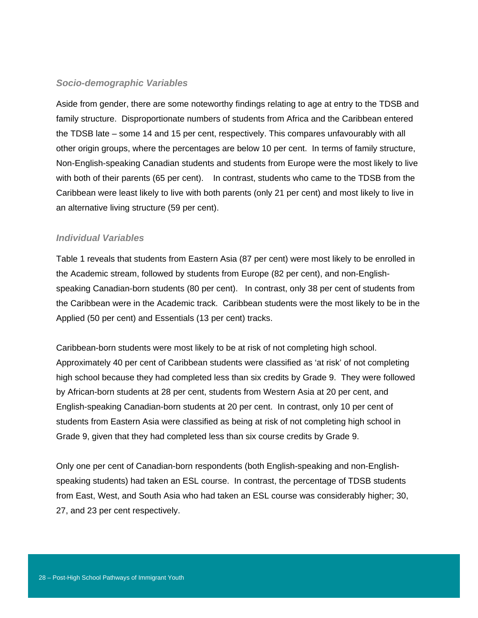#### *Socio-demographic Variables*

Aside from gender, there are some noteworthy findings relating to age at entry to the TDSB and family structure. Disproportionate numbers of students from Africa and the Caribbean entered the TDSB late – some 14 and 15 per cent, respectively. This compares unfavourably with all other origin groups, where the percentages are below 10 per cent. In terms of family structure, Non-English-speaking Canadian students and students from Europe were the most likely to live with both of their parents (65 per cent). In contrast, students who came to the TDSB from the Caribbean were least likely to live with both parents (only 21 per cent) and most likely to live in an alternative living structure (59 per cent).

#### *Individual Variables*

Table 1 reveals that students from Eastern Asia (87 per cent) were most likely to be enrolled in the Academic stream, followed by students from Europe (82 per cent), and non-Englishspeaking Canadian-born students (80 per cent). In contrast, only 38 per cent of students from the Caribbean were in the Academic track. Caribbean students were the most likely to be in the Applied (50 per cent) and Essentials (13 per cent) tracks.

Caribbean-born students were most likely to be at risk of not completing high school. Approximately 40 per cent of Caribbean students were classified as 'at risk' of not completing high school because they had completed less than six credits by Grade 9. They were followed by African-born students at 28 per cent, students from Western Asia at 20 per cent, and English-speaking Canadian-born students at 20 per cent. In contrast, only 10 per cent of students from Eastern Asia were classified as being at risk of not completing high school in Grade 9, given that they had completed less than six course credits by Grade 9.

Only one per cent of Canadian-born respondents (both English-speaking and non-Englishspeaking students) had taken an ESL course. In contrast, the percentage of TDSB students from East, West, and South Asia who had taken an ESL course was considerably higher; 30, 27, and 23 per cent respectively.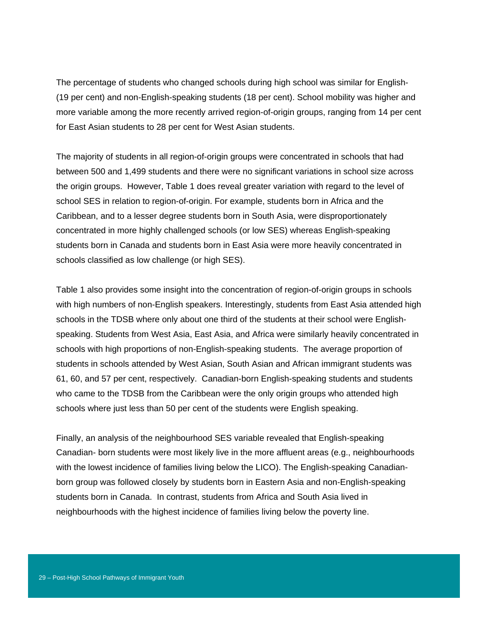The percentage of students who changed schools during high school was similar for English- (19 per cent) and non-English-speaking students (18 per cent). School mobility was higher and more variable among the more recently arrived region-of-origin groups, ranging from 14 per cent for East Asian students to 28 per cent for West Asian students.

The majority of students in all region-of-origin groups were concentrated in schools that had between 500 and 1,499 students and there were no significant variations in school size across the origin groups. However, Table 1 does reveal greater variation with regard to the level of school SES in relation to region-of-origin. For example, students born in Africa and the Caribbean, and to a lesser degree students born in South Asia, were disproportionately concentrated in more highly challenged schools (or low SES) whereas English-speaking students born in Canada and students born in East Asia were more heavily concentrated in schools classified as low challenge (or high SES).

Table 1 also provides some insight into the concentration of region-of-origin groups in schools with high numbers of non-English speakers. Interestingly, students from East Asia attended high schools in the TDSB where only about one third of the students at their school were Englishspeaking. Students from West Asia, East Asia, and Africa were similarly heavily concentrated in schools with high proportions of non-English-speaking students. The average proportion of students in schools attended by West Asian, South Asian and African immigrant students was 61, 60, and 57 per cent, respectively. Canadian-born English-speaking students and students who came to the TDSB from the Caribbean were the only origin groups who attended high schools where just less than 50 per cent of the students were English speaking.

Finally, an analysis of the neighbourhood SES variable revealed that English-speaking Canadian- born students were most likely live in the more affluent areas (e.g., neighbourhoods with the lowest incidence of families living below the LICO). The English-speaking Canadianborn group was followed closely by students born in Eastern Asia and non-English-speaking students born in Canada. In contrast, students from Africa and South Asia lived in neighbourhoods with the highest incidence of families living below the poverty line.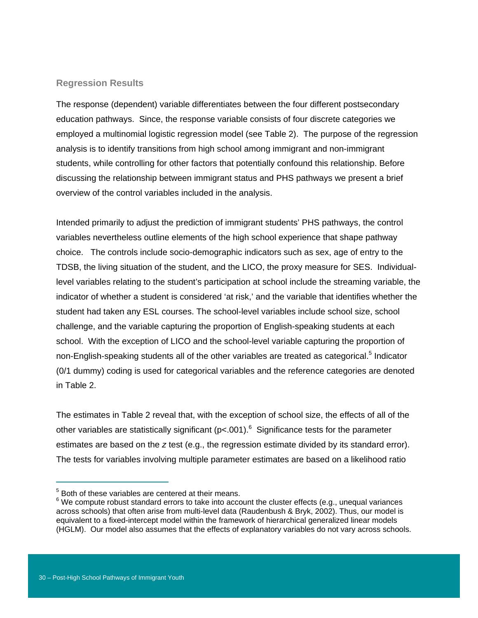#### **Regression Results**

The response (dependent) variable differentiates between the four different postsecondary education pathways. Since, the response variable consists of four discrete categories we employed a multinomial logistic regression model (see Table 2). The purpose of the regression analysis is to identify transitions from high school among immigrant and non-immigrant students, while controlling for other factors that potentially confound this relationship. Before discussing the relationship between immigrant status and PHS pathways we present a brief overview of the control variables included in the analysis.

Intended primarily to adjust the prediction of immigrant students' PHS pathways, the control variables nevertheless outline elements of the high school experience that shape pathway choice. The controls include socio-demographic indicators such as sex, age of entry to the TDSB, the living situation of the student, and the LICO, the proxy measure for SES. Individuallevel variables relating to the student's participation at school include the streaming variable, the indicator of whether a student is considered 'at risk,' and the variable that identifies whether the student had taken any ESL courses. The school-level variables include school size, school challenge, and the variable capturing the proportion of English-speaking students at each school. With the exception of LICO and the school-level variable capturing the proportion of non-English-speaking students all of the other variables are treated as categorical.<sup>5</sup> Indicator (0/1 dummy) coding is used for categorical variables and the reference categories are denoted in Table 2.

The estimates in Table 2 reveal that, with the exception of school size, the effects of all of the other variables are statistically significant (p<.001).<sup>6</sup> Significance tests for the parameter estimates are based on the *z* test (e.g., the regression estimate divided by its standard error). The tests for variables involving multiple parameter estimates are based on a likelihood ratio

 $\overline{a}$ 

<sup>&</sup>lt;sup>5</sup> Both of these variables are centered at their means.

 $6$  We compute robust standard errors to take into account the cluster effects (e.g., unequal variances across schools) that often arise from multi-level data (Raudenbush & Bryk, 2002). Thus, our model is equivalent to a fixed-intercept model within the framework of hierarchical generalized linear models (HGLM). Our model also assumes that the effects of explanatory variables do not vary across schools.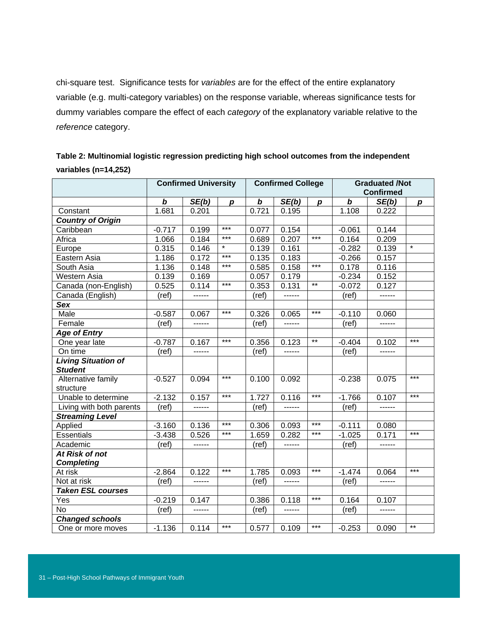chi-square test. Significance tests for *variables* are for the effect of the entire explanatory variable (e.g. multi-category variables) on the response variable, whereas significance tests for dummy variables compare the effect of each *category* of the explanatory variable relative to the *reference* category.

| Table 2: Multinomial logistic regression predicting high school outcomes from the independent |                             |                          |                       |  |  |  |  |  |
|-----------------------------------------------------------------------------------------------|-----------------------------|--------------------------|-----------------------|--|--|--|--|--|
| variables ( $n=14,252$ )                                                                      |                             |                          |                       |  |  |  |  |  |
|                                                                                               | <b>Confirmed University</b> | <b>Confirmed College</b> | <b>Graduated /Not</b> |  |  |  |  |  |

|                                              | <b>Confirmed University</b> |        |                  |                  | <b>Confirmed College</b> |                  |          | <b>Graduated /Not</b><br><b>Confirmed</b> |                  |  |
|----------------------------------------------|-----------------------------|--------|------------------|------------------|--------------------------|------------------|----------|-------------------------------------------|------------------|--|
|                                              | $\bm{b}$                    | SE(b)  | $\boldsymbol{p}$ | $\boldsymbol{b}$ | SE(b)                    | $\boldsymbol{p}$ | $\bm{b}$ | SE(b)                                     | $\boldsymbol{p}$ |  |
| Constant                                     | 1.681                       | 0.201  |                  | 0.721            | 0.195                    |                  | 1.108    | 0.222                                     |                  |  |
| <b>Country of Origin</b>                     |                             |        |                  |                  |                          |                  |          |                                           |                  |  |
| Caribbean                                    | $-0.717$                    | 0.199  | $***$            | 0.077            | 0.154                    |                  | $-0.061$ | 0.144                                     |                  |  |
| Africa                                       | 1.066                       | 0.184  | $***$            | 0.689            | 0.207                    | $***$            | 0.164    | 0.209                                     |                  |  |
| Europe                                       | 0.315                       | 0.146  | $\star$          | 0.139            | 0.161                    |                  | $-0.282$ | 0.139                                     | $\star$          |  |
| Eastern Asia                                 | 1.186                       | 0.172  | $***$            | 0.135            | 0.183                    |                  | $-0.266$ | 0.157                                     |                  |  |
| South Asia                                   | 1.136                       | 0.148  | $***$            | 0.585            | 0.158                    | $***$            | 0.178    | 0.116                                     |                  |  |
| Western Asia                                 | 0.139                       | 0.169  |                  | 0.057            | 0.179                    |                  | $-0.234$ | 0.152                                     |                  |  |
| Canada (non-English)                         | 0.525                       | 0.114  | $***$            | 0.353            | 0.131                    | $***$            | $-0.072$ | 0.127                                     |                  |  |
| Canada (English)                             | (ref)                       | ------ |                  | (ref)            | ------                   |                  | (ref)    | ------                                    |                  |  |
| Sex                                          |                             |        |                  |                  |                          |                  |          |                                           |                  |  |
| Male                                         | $-0.587$                    | 0.067  | $***$            | 0.326            | 0.065                    | $***$            | $-0.110$ | 0.060                                     |                  |  |
| Female                                       | (ref)                       | ------ |                  | (ref)            | ------                   |                  | (ref)    | ------                                    |                  |  |
| <b>Age of Entry</b>                          |                             |        |                  |                  |                          |                  |          |                                           |                  |  |
| One year late                                | $-0.787$                    | 0.167  | $***$            | 0.356            | 0.123                    | $***$            | $-0.404$ | 0.102                                     | $***$            |  |
| On time                                      | (ref)                       | ------ |                  | (ref)            | ------                   |                  | (ref)    | ------                                    |                  |  |
| <b>Living Situation of</b><br><b>Student</b> |                             |        |                  |                  |                          |                  |          |                                           |                  |  |
| Alternative family<br>structure              | $-0.527$                    | 0.094  | $***$            | 0.100            | 0.092                    |                  | $-0.238$ | 0.075                                     | $***$            |  |
| Unable to determine                          | $-2.132$                    | 0.157  | ***              | 1.727            | 0.116                    | ***              | $-1.766$ | 0.107                                     | $***$            |  |
| Living with both parents                     | (ref)                       | ------ |                  | (ref)            | ------                   |                  | (ref)    | ------                                    |                  |  |
| <b>Streaming Level</b>                       |                             |        |                  |                  |                          |                  |          |                                           |                  |  |
| Applied                                      | $-3.160$                    | 0.136  | $***$            | 0.306            | 0.093                    | $***$            | $-0.111$ | 0.080                                     |                  |  |
| <b>Essentials</b>                            | $-3.438$                    | 0.526  | $***$            | 1.659            | 0.282                    | $***$            | $-1.025$ | 0.171                                     | $***$            |  |
| Academic                                     | (ref)                       | ------ |                  | (ref)            | ------                   |                  | (ref)    | ------                                    |                  |  |
| At Risk of not                               |                             |        |                  |                  |                          |                  |          |                                           |                  |  |
| <b>Completing</b>                            |                             |        |                  |                  |                          |                  |          |                                           |                  |  |
| At risk                                      | $-2.864$                    | 0.122  | $***$            | 1.785            | 0.093                    | $***$            | $-1.474$ | 0.064                                     | $***$            |  |
| Not at risk                                  | (ref)                       | ------ |                  | (ref)            | ------                   |                  | (ref)    | $- - - - - -$                             |                  |  |
| <b>Taken ESL courses</b>                     |                             |        |                  |                  |                          |                  |          |                                           |                  |  |
| Yes                                          | $-0.219$                    | 0.147  |                  | 0.386            | 0.118                    | ***              | 0.164    | 0.107                                     |                  |  |
| <b>No</b>                                    | (ref)                       | ------ |                  | (ref)            | ------                   |                  | (ref)    | ------                                    |                  |  |
| <b>Changed schools</b>                       |                             |        |                  |                  |                          |                  |          |                                           |                  |  |
| One or more moves                            | $-1.136$                    | 0.114  | $***$            | 0.577            | 0.109                    | $***$            | $-0.253$ | 0.090                                     | $**$             |  |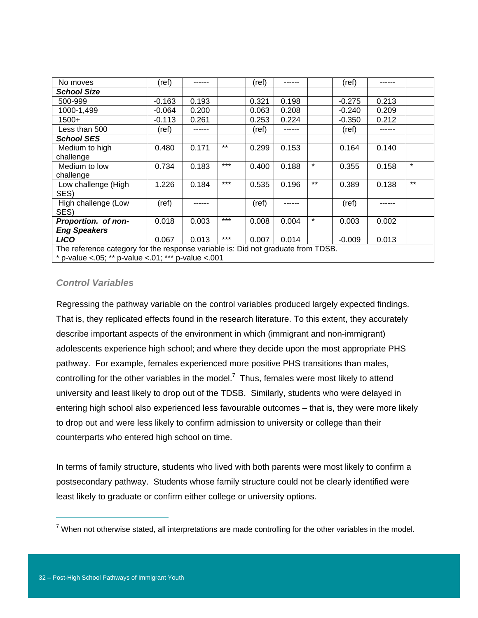| No moves                                                                         | (ref)    | ------ |       | (ref) |       |         | (ref)    | ------ |         |
|----------------------------------------------------------------------------------|----------|--------|-------|-------|-------|---------|----------|--------|---------|
| <b>School Size</b>                                                               |          |        |       |       |       |         |          |        |         |
| 500-999                                                                          | $-0.163$ | 0.193  |       | 0.321 | 0.198 |         | $-0.275$ | 0.213  |         |
| 1000-1,499                                                                       | $-0.064$ | 0.200  |       | 0.063 | 0.208 |         | $-0.240$ | 0.209  |         |
| 1500+                                                                            | $-0.113$ | 0.261  |       | 0.253 | 0.224 |         | $-0.350$ | 0.212  |         |
| Less than 500                                                                    | (ref)    |        |       | (ref) |       |         | (ref)    |        |         |
| <b>School SES</b>                                                                |          |        |       |       |       |         |          |        |         |
| Medium to high                                                                   | 0.480    | 0.171  | $***$ | 0.299 | 0.153 |         | 0.164    | 0.140  |         |
| challenge                                                                        |          |        |       |       |       |         |          |        |         |
| Medium to low                                                                    | 0.734    | 0.183  | $***$ | 0.400 | 0.188 | $\star$ | 0.355    | 0.158  | $\star$ |
| challenge                                                                        |          |        |       |       |       |         |          |        |         |
| Low challenge (High                                                              | 1.226    | 0.184  | $***$ | 0.535 | 0.196 | $***$   | 0.389    | 0.138  | $***$   |
| SES)                                                                             |          |        |       |       |       |         |          |        |         |
| High challenge (Low<br>SES)                                                      | (ref)    |        |       | (ref) |       |         | (ref)    |        |         |
| Proportion. of non-                                                              | 0.018    | 0.003  | $***$ | 0.008 | 0.004 | $\star$ | 0.003    | 0.002  |         |
| <b>Eng Speakers</b>                                                              |          |        |       |       |       |         |          |        |         |
| <b>LICO</b>                                                                      | 0.067    | 0.013  | $***$ | 0.007 | 0.014 |         | $-0.009$ | 0.013  |         |
| The reference category for the response variable is: Did not graduate from TDSB. |          |        |       |       |       |         |          |        |         |
| * p-value <.05; ** p-value <.01; *** p-value <.001                               |          |        |       |       |       |         |          |        |         |

#### *Control Variables*

Regressing the pathway variable on the control variables produced largely expected findings. That is, they replicated effects found in the research literature. To this extent, they accurately describe important aspects of the environment in which (immigrant and non-immigrant) adolescents experience high school; and where they decide upon the most appropriate PHS pathway. For example, females experienced more positive PHS transitions than males, controlling for the other variables in the model.<sup>7</sup> Thus, females were most likely to attend university and least likely to drop out of the TDSB. Similarly, students who were delayed in entering high school also experienced less favourable outcomes – that is, they were more likely to drop out and were less likely to confirm admission to university or college than their counterparts who entered high school on time.

In terms of family structure, students who lived with both parents were most likely to confirm a postsecondary pathway. Students whose family structure could not be clearly identified were least likely to graduate or confirm either college or university options.

 $\overline{a}$ 

 $7$  When not otherwise stated, all interpretations are made controlling for the other variables in the model.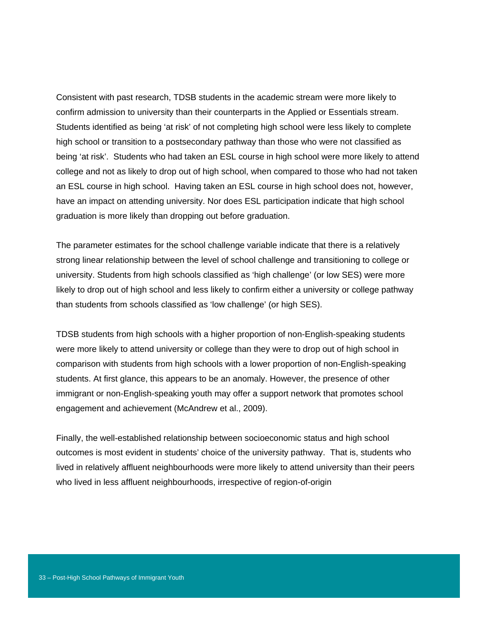Consistent with past research, TDSB students in the academic stream were more likely to confirm admission to university than their counterparts in the Applied or Essentials stream. Students identified as being 'at risk' of not completing high school were less likely to complete high school or transition to a postsecondary pathway than those who were not classified as being 'at risk'. Students who had taken an ESL course in high school were more likely to attend college and not as likely to drop out of high school, when compared to those who had not taken an ESL course in high school. Having taken an ESL course in high school does not, however, have an impact on attending university. Nor does ESL participation indicate that high school graduation is more likely than dropping out before graduation.

The parameter estimates for the school challenge variable indicate that there is a relatively strong linear relationship between the level of school challenge and transitioning to college or university. Students from high schools classified as 'high challenge' (or low SES) were more likely to drop out of high school and less likely to confirm either a university or college pathway than students from schools classified as 'low challenge' (or high SES).

TDSB students from high schools with a higher proportion of non-English-speaking students were more likely to attend university or college than they were to drop out of high school in comparison with students from high schools with a lower proportion of non-English-speaking students. At first glance, this appears to be an anomaly. However, the presence of other immigrant or non-English-speaking youth may offer a support network that promotes school engagement and achievement (McAndrew et al., 2009).

Finally, the well-established relationship between socioeconomic status and high school outcomes is most evident in students' choice of the university pathway. That is, students who lived in relatively affluent neighbourhoods were more likely to attend university than their peers who lived in less affluent neighbourhoods, irrespective of region-of-origin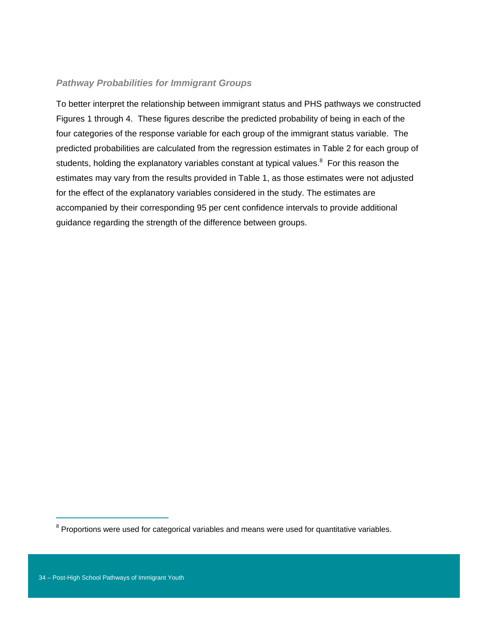#### *Pathway Probabilities for Immigrant Groups*

To better interpret the relationship between immigrant status and PHS pathways we constructed Figures 1 through 4. These figures describe the predicted probability of being in each of the four categories of the response variable for each group of the immigrant status variable. The predicted probabilities are calculated from the regression estimates in Table 2 for each group of students, holding the explanatory variables constant at typical values. $8$  For this reason the estimates may vary from the results provided in Table 1, as those estimates were not adjusted for the effect of the explanatory variables considered in the study. The estimates are accompanied by their corresponding 95 per cent confidence intervals to provide additional guidance regarding the strength of the difference between groups.

 $\overline{a}$ 

 $8$  Proportions were used for categorical variables and means were used for quantitative variables.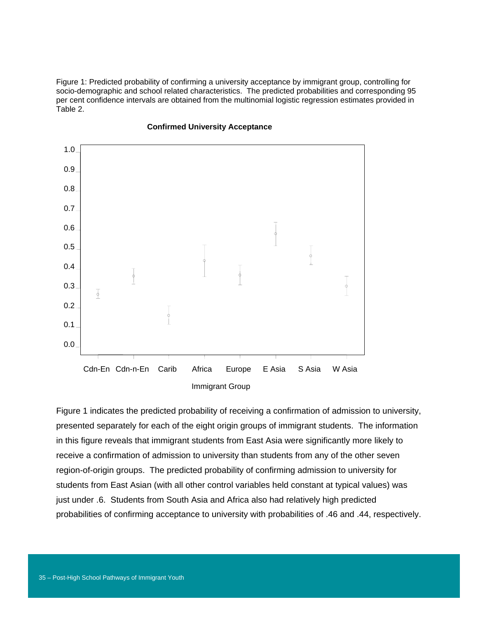Figure 1: Predicted probability of confirming a university acceptance by immigrant group, controlling for socio-demographic and school related characteristics. The predicted probabilities and corresponding 95 per cent confidence intervals are obtained from the multinomial logistic regression estimates provided in Table 2.



#### **Confirmed University Acceptance**

Figure 1 indicates the predicted probability of receiving a confirmation of admission to university, presented separately for each of the eight origin groups of immigrant students. The information in this figure reveals that immigrant students from East Asia were significantly more likely to receive a confirmation of admission to university than students from any of the other seven region-of-origin groups. The predicted probability of confirming admission to university for students from East Asian (with all other control variables held constant at typical values) was just under .6. Students from South Asia and Africa also had relatively high predicted probabilities of confirming acceptance to university with probabilities of .46 and .44, respectively.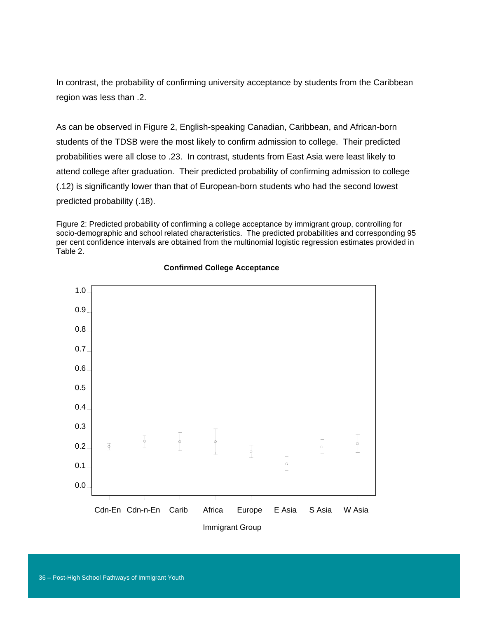In contrast, the probability of confirming university acceptance by students from the Caribbean region was less than .2.

As can be observed in Figure 2, English-speaking Canadian, Caribbean, and African-born students of the TDSB were the most likely to confirm admission to college. Their predicted probabilities were all close to .23. In contrast, students from East Asia were least likely to attend college after graduation. Their predicted probability of confirming admission to college (.12) is significantly lower than that of European-born students who had the second lowest predicted probability (.18).

Figure 2: Predicted probability of confirming a college acceptance by immigrant group, controlling for socio-demographic and school related characteristics. The predicted probabilities and corresponding 95 per cent confidence intervals are obtained from the multinomial logistic regression estimates provided in Table 2.



#### **Confirmed College Acceptance**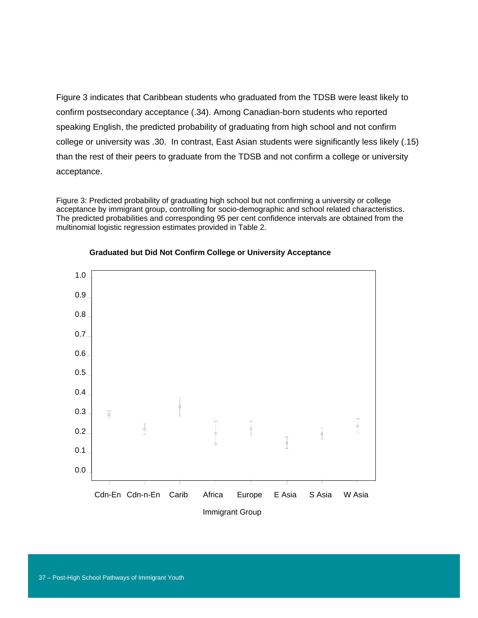Figure 3 indicates that Caribbean students who graduated from the TDSB were least likely to confirm postsecondary acceptance (.34). Among Canadian-born students who reported speaking English, the predicted probability of graduating from high school and not confirm college or university was .30. In contrast, East Asian students were significantly less likely (.15) than the rest of their peers to graduate from the TDSB and not confirm a college or university acceptance.

Figure 3: Predicted probability of graduating high school but not confirming a university or college acceptance by immigrant group, controlling for socio-demographic and school related characteristics. The predicted probabilities and corresponding 95 per cent confidence intervals are obtained from the multinomial logistic regression estimates provided in Table 2.



#### **Graduated but Did Not Confirm College or University Acceptance**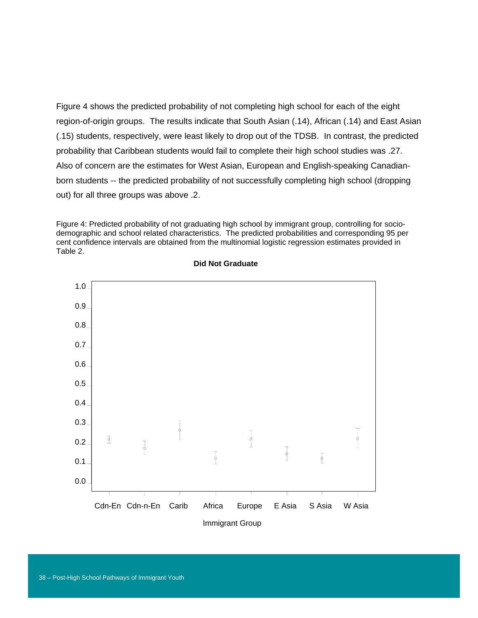Figure 4 shows the predicted probability of not completing high school for each of the eight region-of-origin groups. The results indicate that South Asian (.14), African (.14) and East Asian (.15) students, respectively, were least likely to drop out of the TDSB. In contrast, the predicted probability that Caribbean students would fail to complete their high school studies was .27. Also of concern are the estimates for West Asian, European and English-speaking Canadianborn students -- the predicted probability of not successfully completing high school (dropping out) for all three groups was above .2.

Figure 4: Predicted probability of not graduating high school by immigrant group, controlling for sociodemographic and school related characteristics. The predicted probabilities and corresponding 95 per cent confidence intervals are obtained from the multinomial logistic regression estimates provided in Table 2.



#### **Did Not Graduate**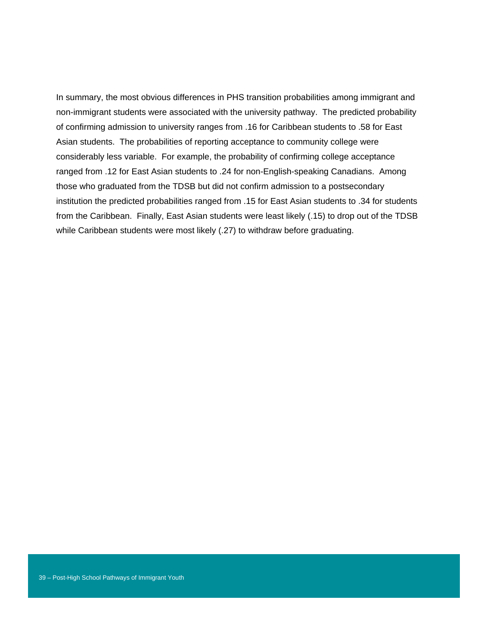In summary, the most obvious differences in PHS transition probabilities among immigrant and non-immigrant students were associated with the university pathway. The predicted probability of confirming admission to university ranges from .16 for Caribbean students to .58 for East Asian students. The probabilities of reporting acceptance to community college were considerably less variable. For example, the probability of confirming college acceptance ranged from .12 for East Asian students to .24 for non-English-speaking Canadians. Among those who graduated from the TDSB but did not confirm admission to a postsecondary institution the predicted probabilities ranged from .15 for East Asian students to .34 for students from the Caribbean. Finally, East Asian students were least likely (.15) to drop out of the TDSB while Caribbean students were most likely (.27) to withdraw before graduating.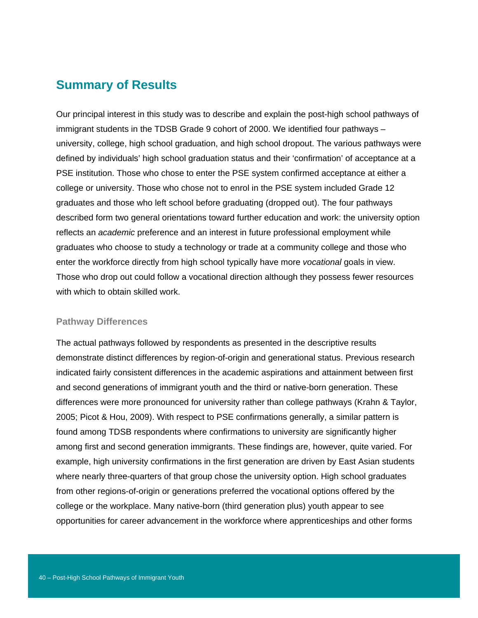### **Summary of Results**

Our principal interest in this study was to describe and explain the post-high school pathways of immigrant students in the TDSB Grade 9 cohort of 2000. We identified four pathways – university, college, high school graduation, and high school dropout. The various pathways were defined by individuals' high school graduation status and their 'confirmation' of acceptance at a PSE institution. Those who chose to enter the PSE system confirmed acceptance at either a college or university. Those who chose not to enrol in the PSE system included Grade 12 graduates and those who left school before graduating (dropped out). The four pathways described form two general orientations toward further education and work: the university option reflects an *academic* preference and an interest in future professional employment while graduates who choose to study a technology or trade at a community college and those who enter the workforce directly from high school typically have more *vocational* goals in view. Those who drop out could follow a vocational direction although they possess fewer resources with which to obtain skilled work.

#### **Pathway Differences**

The actual pathways followed by respondents as presented in the descriptive results demonstrate distinct differences by region-of-origin and generational status. Previous research indicated fairly consistent differences in the academic aspirations and attainment between first and second generations of immigrant youth and the third or native-born generation. These differences were more pronounced for university rather than college pathways (Krahn & Taylor, 2005; Picot & Hou, 2009). With respect to PSE confirmations generally, a similar pattern is found among TDSB respondents where confirmations to university are significantly higher among first and second generation immigrants. These findings are, however, quite varied. For example, high university confirmations in the first generation are driven by East Asian students where nearly three-quarters of that group chose the university option. High school graduates from other regions-of-origin or generations preferred the vocational options offered by the college or the workplace. Many native-born (third generation plus) youth appear to see opportunities for career advancement in the workforce where apprenticeships and other forms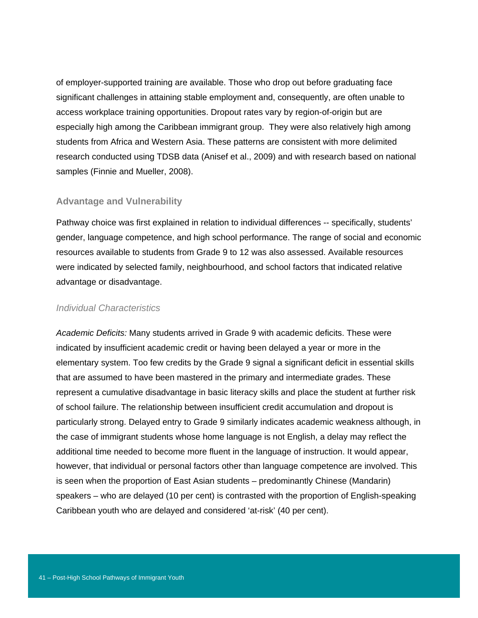of employer-supported training are available. Those who drop out before graduating face significant challenges in attaining stable employment and, consequently, are often unable to access workplace training opportunities. Dropout rates vary by region-of-origin but are especially high among the Caribbean immigrant group. They were also relatively high among students from Africa and Western Asia. These patterns are consistent with more delimited research conducted using TDSB data (Anisef et al., 2009) and with research based on national samples (Finnie and Mueller, 2008).

#### **Advantage and Vulnerability**

Pathway choice was first explained in relation to individual differences -- specifically, students' gender, language competence, and high school performance. The range of social and economic resources available to students from Grade 9 to 12 was also assessed. Available resources were indicated by selected family, neighbourhood, and school factors that indicated relative advantage or disadvantage.

#### *Individual Characteristics*

*Academic Deficits:* Many students arrived in Grade 9 with academic deficits. These were indicated by insufficient academic credit or having been delayed a year or more in the elementary system. Too few credits by the Grade 9 signal a significant deficit in essential skills that are assumed to have been mastered in the primary and intermediate grades. These represent a cumulative disadvantage in basic literacy skills and place the student at further risk of school failure. The relationship between insufficient credit accumulation and dropout is particularly strong. Delayed entry to Grade 9 similarly indicates academic weakness although, in the case of immigrant students whose home language is not English, a delay may reflect the additional time needed to become more fluent in the language of instruction. It would appear, however, that individual or personal factors other than language competence are involved. This is seen when the proportion of East Asian students – predominantly Chinese (Mandarin) speakers – who are delayed (10 per cent) is contrasted with the proportion of English-speaking Caribbean youth who are delayed and considered 'at-risk' (40 per cent).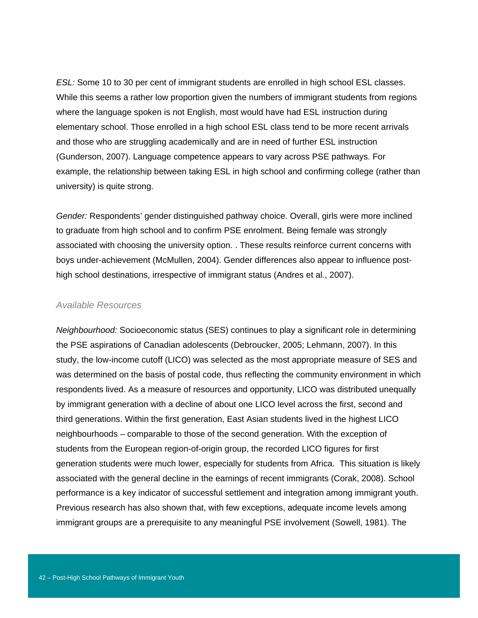*ESL:* Some 10 to 30 per cent of immigrant students are enrolled in high school ESL classes. While this seems a rather low proportion given the numbers of immigrant students from regions where the language spoken is not English, most would have had ESL instruction during elementary school. Those enrolled in a high school ESL class tend to be more recent arrivals and those who are struggling academically and are in need of further ESL instruction (Gunderson, 2007). Language competence appears to vary across PSE pathways. For example, the relationship between taking ESL in high school and confirming college (rather than university) is quite strong.

*Gender:* Respondents' gender distinguished pathway choice. Overall, girls were more inclined to graduate from high school and to confirm PSE enrolment. Being female was strongly associated with choosing the university option. . These results reinforce current concerns with boys under-achievement (McMullen, 2004). Gender differences also appear to influence posthigh school destinations, irrespective of immigrant status (Andres et al., 2007).

#### *Available Resources*

*Neighbourhood:* Socioeconomic status (SES) continues to play a significant role in determining the PSE aspirations of Canadian adolescents (Debroucker, 2005; Lehmann, 2007). In this study, the low-income cutoff (LICO) was selected as the most appropriate measure of SES and was determined on the basis of postal code, thus reflecting the community environment in which respondents lived. As a measure of resources and opportunity, LICO was distributed unequally by immigrant generation with a decline of about one LICO level across the first, second and third generations. Within the first generation, East Asian students lived in the highest LICO neighbourhoods – comparable to those of the second generation. With the exception of students from the European region-of-origin group, the recorded LICO figures for first generation students were much lower, especially for students from Africa. This situation is likely associated with the general decline in the earnings of recent immigrants (Corak, 2008). School performance is a key indicator of successful settlement and integration among immigrant youth. Previous research has also shown that, with few exceptions, adequate income levels among immigrant groups are a prerequisite to any meaningful PSE involvement (Sowell, 1981). The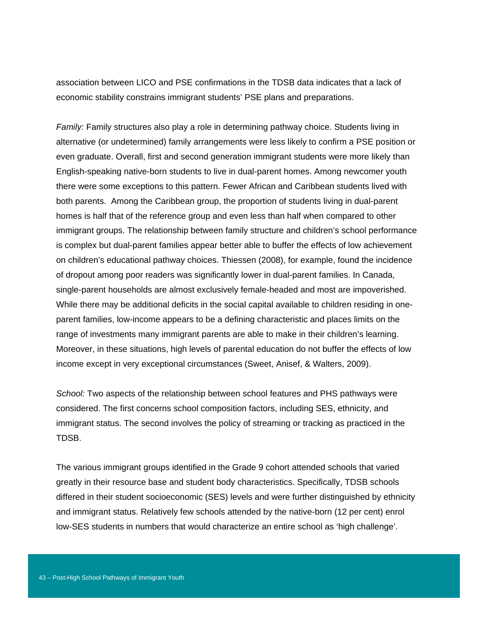association between LICO and PSE confirmations in the TDSB data indicates that a lack of economic stability constrains immigrant students' PSE plans and preparations.

*Family:* Family structures also play a role in determining pathway choice. Students living in alternative (or undetermined) family arrangements were less likely to confirm a PSE position or even graduate. Overall, first and second generation immigrant students were more likely than English-speaking native-born students to live in dual-parent homes. Among newcomer youth there were some exceptions to this pattern. Fewer African and Caribbean students lived with both parents. Among the Caribbean group, the proportion of students living in dual-parent homes is half that of the reference group and even less than half when compared to other immigrant groups. The relationship between family structure and children's school performance is complex but dual-parent families appear better able to buffer the effects of low achievement on children's educational pathway choices. Thiessen (2008), for example, found the incidence of dropout among poor readers was significantly lower in dual-parent families. In Canada, single-parent households are almost exclusively female-headed and most are impoverished. While there may be additional deficits in the social capital available to children residing in oneparent families, low-income appears to be a defining characteristic and places limits on the range of investments many immigrant parents are able to make in their children's learning. Moreover, in these situations, high levels of parental education do not buffer the effects of low income except in very exceptional circumstances (Sweet, Anisef, & Walters, 2009).

*School:* Two aspects of the relationship between school features and PHS pathways were considered. The first concerns school composition factors, including SES, ethnicity, and immigrant status. The second involves the policy of streaming or tracking as practiced in the TDSB.

The various immigrant groups identified in the Grade 9 cohort attended schools that varied greatly in their resource base and student body characteristics. Specifically, TDSB schools differed in their student socioeconomic (SES) levels and were further distinguished by ethnicity and immigrant status. Relatively few schools attended by the native-born (12 per cent) enrol low-SES students in numbers that would characterize an entire school as 'high challenge'.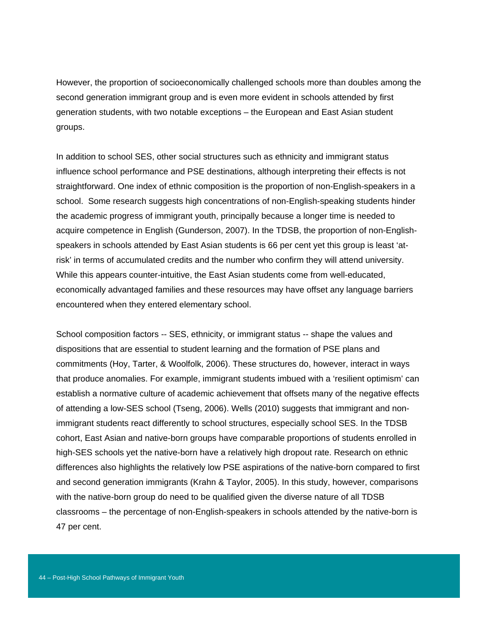However, the proportion of socioeconomically challenged schools more than doubles among the second generation immigrant group and is even more evident in schools attended by first generation students, with two notable exceptions – the European and East Asian student groups.

In addition to school SES, other social structures such as ethnicity and immigrant status influence school performance and PSE destinations, although interpreting their effects is not straightforward. One index of ethnic composition is the proportion of non-English-speakers in a school. Some research suggests high concentrations of non-English-speaking students hinder the academic progress of immigrant youth, principally because a longer time is needed to acquire competence in English (Gunderson, 2007). In the TDSB, the proportion of non-Englishspeakers in schools attended by East Asian students is 66 per cent yet this group is least 'atrisk' in terms of accumulated credits and the number who confirm they will attend university. While this appears counter-intuitive, the East Asian students come from well-educated, economically advantaged families and these resources may have offset any language barriers encountered when they entered elementary school.

School composition factors -- SES, ethnicity, or immigrant status -- shape the values and dispositions that are essential to student learning and the formation of PSE plans and commitments (Hoy, Tarter, & Woolfolk, 2006). These structures do, however, interact in ways that produce anomalies. For example, immigrant students imbued with a 'resilient optimism' can establish a normative culture of academic achievement that offsets many of the negative effects of attending a low-SES school (Tseng, 2006). Wells (2010) suggests that immigrant and nonimmigrant students react differently to school structures, especially school SES. In the TDSB cohort, East Asian and native-born groups have comparable proportions of students enrolled in high-SES schools yet the native-born have a relatively high dropout rate. Research on ethnic differences also highlights the relatively low PSE aspirations of the native-born compared to first and second generation immigrants (Krahn & Taylor, 2005). In this study, however, comparisons with the native-born group do need to be qualified given the diverse nature of all TDSB classrooms – the percentage of non-English-speakers in schools attended by the native-born is 47 per cent.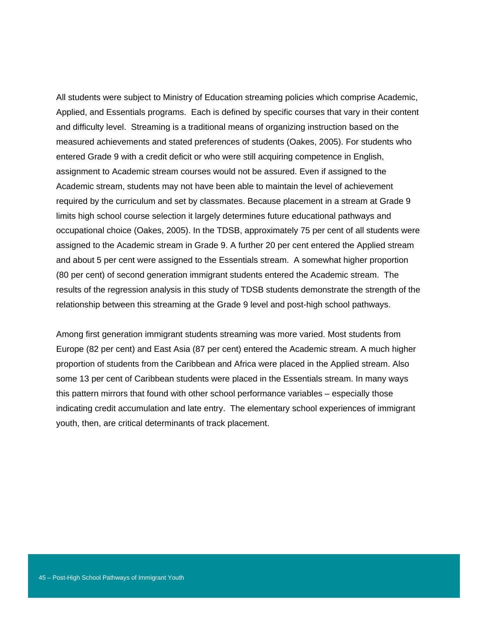All students were subject to Ministry of Education streaming policies which comprise Academic, Applied, and Essentials programs. Each is defined by specific courses that vary in their content and difficulty level. Streaming is a traditional means of organizing instruction based on the measured achievements and stated preferences of students (Oakes, 2005). For students who entered Grade 9 with a credit deficit or who were still acquiring competence in English, assignment to Academic stream courses would not be assured. Even if assigned to the Academic stream, students may not have been able to maintain the level of achievement required by the curriculum and set by classmates. Because placement in a stream at Grade 9 limits high school course selection it largely determines future educational pathways and occupational choice (Oakes, 2005). In the TDSB, approximately 75 per cent of all students were assigned to the Academic stream in Grade 9. A further 20 per cent entered the Applied stream and about 5 per cent were assigned to the Essentials stream. A somewhat higher proportion (80 per cent) of second generation immigrant students entered the Academic stream. The results of the regression analysis in this study of TDSB students demonstrate the strength of the relationship between this streaming at the Grade 9 level and post-high school pathways.

Among first generation immigrant students streaming was more varied. Most students from Europe (82 per cent) and East Asia (87 per cent) entered the Academic stream. A much higher proportion of students from the Caribbean and Africa were placed in the Applied stream. Also some 13 per cent of Caribbean students were placed in the Essentials stream. In many ways this pattern mirrors that found with other school performance variables – especially those indicating credit accumulation and late entry. The elementary school experiences of immigrant youth, then, are critical determinants of track placement.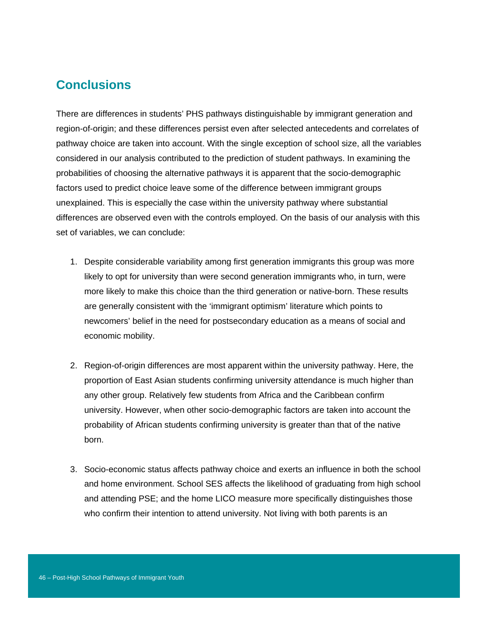## **Conclusions**

There are differences in students' PHS pathways distinguishable by immigrant generation and region-of-origin; and these differences persist even after selected antecedents and correlates of pathway choice are taken into account. With the single exception of school size, all the variables considered in our analysis contributed to the prediction of student pathways. In examining the probabilities of choosing the alternative pathways it is apparent that the socio-demographic factors used to predict choice leave some of the difference between immigrant groups unexplained. This is especially the case within the university pathway where substantial differences are observed even with the controls employed. On the basis of our analysis with this set of variables, we can conclude:

- 1. Despite considerable variability among first generation immigrants this group was more likely to opt for university than were second generation immigrants who, in turn, were more likely to make this choice than the third generation or native-born. These results are generally consistent with the 'immigrant optimism' literature which points to newcomers' belief in the need for postsecondary education as a means of social and economic mobility.
- 2. Region-of-origin differences are most apparent within the university pathway. Here, the proportion of East Asian students confirming university attendance is much higher than any other group. Relatively few students from Africa and the Caribbean confirm university. However, when other socio-demographic factors are taken into account the probability of African students confirming university is greater than that of the native born.
- 3. Socio-economic status affects pathway choice and exerts an influence in both the school and home environment. School SES affects the likelihood of graduating from high school and attending PSE; and the home LICO measure more specifically distinguishes those who confirm their intention to attend university. Not living with both parents is an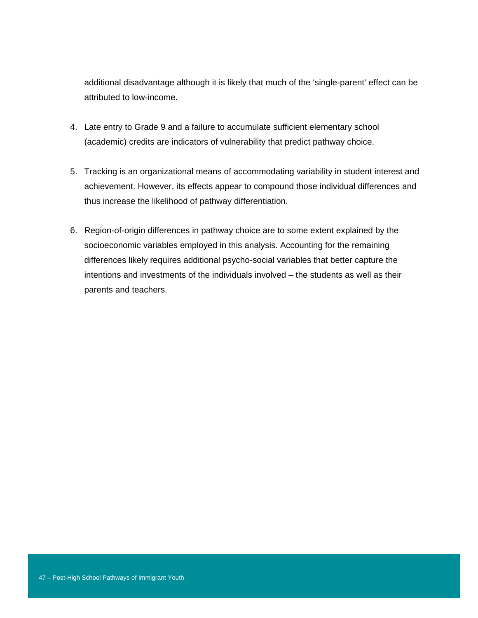additional disadvantage although it is likely that much of the 'single-parent' effect can be attributed to low-income.

- 4. Late entry to Grade 9 and a failure to accumulate sufficient elementary school (academic) credits are indicators of vulnerability that predict pathway choice.
- 5. Tracking is an organizational means of accommodating variability in student interest and achievement. However, its effects appear to compound those individual differences and thus increase the likelihood of pathway differentiation.
- 6. Region-of-origin differences in pathway choice are to some extent explained by the socioeconomic variables employed in this analysis. Accounting for the remaining differences likely requires additional psycho-social variables that better capture the intentions and investments of the individuals involved – the students as well as their parents and teachers.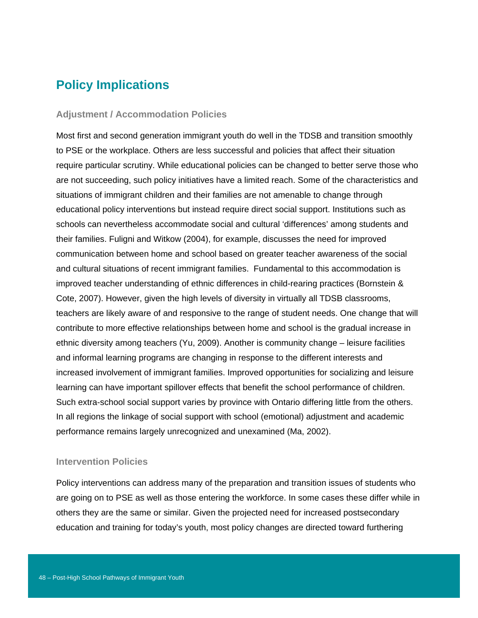# **Policy Implications**

#### **Adjustment / Accommodation Policies**

Most first and second generation immigrant youth do well in the TDSB and transition smoothly to PSE or the workplace. Others are less successful and policies that affect their situation require particular scrutiny. While educational policies can be changed to better serve those who are not succeeding, such policy initiatives have a limited reach. Some of the characteristics and situations of immigrant children and their families are not amenable to change through educational policy interventions but instead require direct social support. Institutions such as schools can nevertheless accommodate social and cultural 'differences' among students and their families. Fuligni and Witkow (2004), for example, discusses the need for improved communication between home and school based on greater teacher awareness of the social and cultural situations of recent immigrant families. Fundamental to this accommodation is improved teacher understanding of ethnic differences in child-rearing practices (Bornstein & Cote, 2007). However, given the high levels of diversity in virtually all TDSB classrooms, teachers are likely aware of and responsive to the range of student needs. One change that will contribute to more effective relationships between home and school is the gradual increase in ethnic diversity among teachers (Yu, 2009). Another is community change – leisure facilities and informal learning programs are changing in response to the different interests and increased involvement of immigrant families. Improved opportunities for socializing and leisure learning can have important spillover effects that benefit the school performance of children. Such extra-school social support varies by province with Ontario differing little from the others. In all regions the linkage of social support with school (emotional) adjustment and academic performance remains largely unrecognized and unexamined (Ma, 2002).

#### **Intervention Policies**

Policy interventions can address many of the preparation and transition issues of students who are going on to PSE as well as those entering the workforce. In some cases these differ while in others they are the same or similar. Given the projected need for increased postsecondary education and training for today's youth, most policy changes are directed toward furthering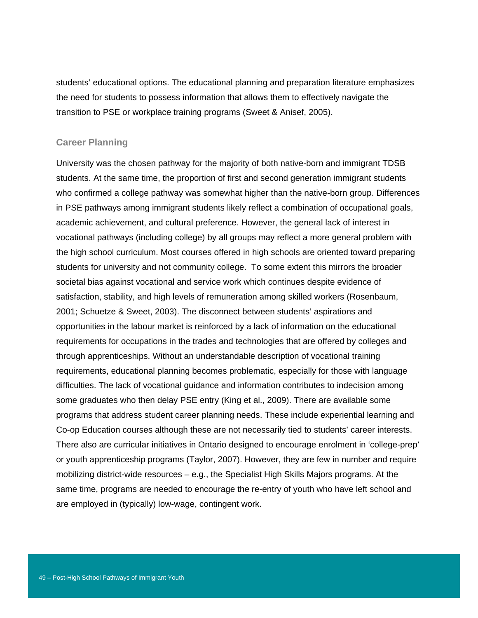students' educational options. The educational planning and preparation literature emphasizes the need for students to possess information that allows them to effectively navigate the transition to PSE or workplace training programs (Sweet & Anisef, 2005).

#### **Career Planning**

University was the chosen pathway for the majority of both native-born and immigrant TDSB students. At the same time, the proportion of first and second generation immigrant students who confirmed a college pathway was somewhat higher than the native-born group. Differences in PSE pathways among immigrant students likely reflect a combination of occupational goals, academic achievement, and cultural preference. However, the general lack of interest in vocational pathways (including college) by all groups may reflect a more general problem with the high school curriculum. Most courses offered in high schools are oriented toward preparing students for university and not community college. To some extent this mirrors the broader societal bias against vocational and service work which continues despite evidence of satisfaction, stability, and high levels of remuneration among skilled workers (Rosenbaum, 2001; Schuetze & Sweet, 2003). The disconnect between students' aspirations and opportunities in the labour market is reinforced by a lack of information on the educational requirements for occupations in the trades and technologies that are offered by colleges and through apprenticeships. Without an understandable description of vocational training requirements, educational planning becomes problematic, especially for those with language difficulties. The lack of vocational guidance and information contributes to indecision among some graduates who then delay PSE entry (King et al., 2009). There are available some programs that address student career planning needs. These include experiential learning and Co-op Education courses although these are not necessarily tied to students' career interests. There also are curricular initiatives in Ontario designed to encourage enrolment in 'college-prep' or youth apprenticeship programs (Taylor, 2007). However, they are few in number and require mobilizing district-wide resources – e.g., the Specialist High Skills Majors programs. At the same time, programs are needed to encourage the re-entry of youth who have left school and are employed in (typically) low-wage, contingent work.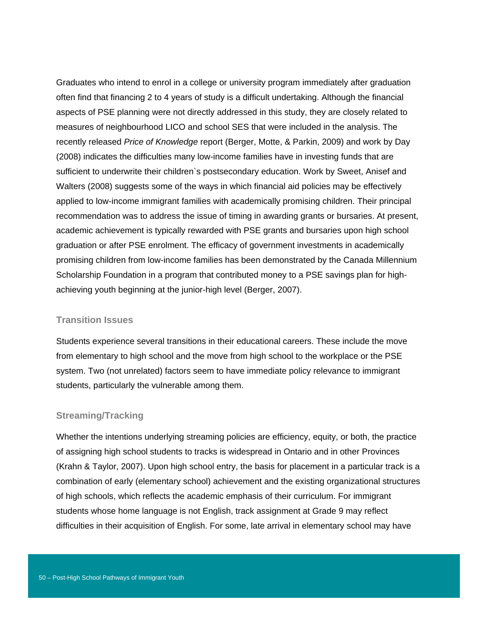Graduates who intend to enrol in a college or university program immediately after graduation often find that financing 2 to 4 years of study is a difficult undertaking. Although the financial aspects of PSE planning were not directly addressed in this study, they are closely related to measures of neighbourhood LICO and school SES that were included in the analysis. The recently released *Price of Knowledge* report (Berger, Motte, & Parkin, 2009) and work by Day (2008) indicates the difficulties many low-income families have in investing funds that are sufficient to underwrite their children`s postsecondary education. Work by Sweet, Anisef and Walters (2008) suggests some of the ways in which financial aid policies may be effectively applied to low-income immigrant families with academically promising children. Their principal recommendation was to address the issue of timing in awarding grants or bursaries. At present, academic achievement is typically rewarded with PSE grants and bursaries upon high school graduation or after PSE enrolment. The efficacy of government investments in academically promising children from low-income families has been demonstrated by the Canada Millennium Scholarship Foundation in a program that contributed money to a PSE savings plan for highachieving youth beginning at the junior-high level (Berger, 2007).

#### **Transition Issues**

Students experience several transitions in their educational careers. These include the move from elementary to high school and the move from high school to the workplace or the PSE system. Two (not unrelated) factors seem to have immediate policy relevance to immigrant students, particularly the vulnerable among them.

#### **Streaming/Tracking**

Whether the intentions underlying streaming policies are efficiency, equity, or both, the practice of assigning high school students to tracks is widespread in Ontario and in other Provinces (Krahn & Taylor, 2007). Upon high school entry, the basis for placement in a particular track is a combination of early (elementary school) achievement and the existing organizational structures of high schools, which reflects the academic emphasis of their curriculum. For immigrant students whose home language is not English, track assignment at Grade 9 may reflect difficulties in their acquisition of English. For some, late arrival in elementary school may have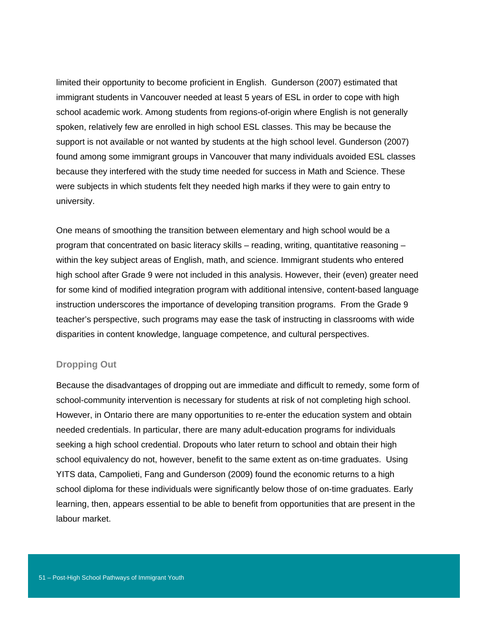limited their opportunity to become proficient in English. Gunderson (2007) estimated that immigrant students in Vancouver needed at least 5 years of ESL in order to cope with high school academic work. Among students from regions-of-origin where English is not generally spoken, relatively few are enrolled in high school ESL classes. This may be because the support is not available or not wanted by students at the high school level. Gunderson (2007) found among some immigrant groups in Vancouver that many individuals avoided ESL classes because they interfered with the study time needed for success in Math and Science. These were subjects in which students felt they needed high marks if they were to gain entry to university.

One means of smoothing the transition between elementary and high school would be a program that concentrated on basic literacy skills – reading, writing, quantitative reasoning – within the key subject areas of English, math, and science. Immigrant students who entered high school after Grade 9 were not included in this analysis. However, their (even) greater need for some kind of modified integration program with additional intensive, content-based language instruction underscores the importance of developing transition programs. From the Grade 9 teacher's perspective, such programs may ease the task of instructing in classrooms with wide disparities in content knowledge, language competence, and cultural perspectives.

#### **Dropping Out**

Because the disadvantages of dropping out are immediate and difficult to remedy, some form of school-community intervention is necessary for students at risk of not completing high school. However, in Ontario there are many opportunities to re-enter the education system and obtain needed credentials. In particular, there are many adult-education programs for individuals seeking a high school credential. Dropouts who later return to school and obtain their high school equivalency do not, however, benefit to the same extent as on-time graduates. Using YITS data, Campolieti, Fang and Gunderson (2009) found the economic returns to a high school diploma for these individuals were significantly below those of on-time graduates. Early learning, then, appears essential to be able to benefit from opportunities that are present in the labour market.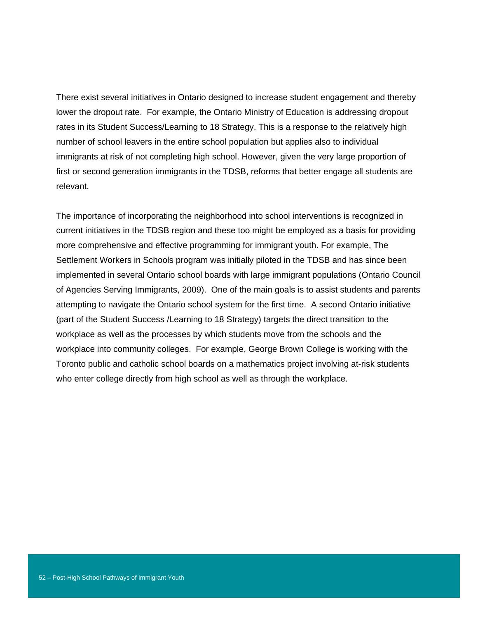There exist several initiatives in Ontario designed to increase student engagement and thereby lower the dropout rate. For example, the Ontario Ministry of Education is addressing dropout rates in its Student Success/Learning to 18 Strategy. This is a response to the relatively high number of school leavers in the entire school population but applies also to individual immigrants at risk of not completing high school. However, given the very large proportion of first or second generation immigrants in the TDSB, reforms that better engage all students are relevant.

The importance of incorporating the neighborhood into school interventions is recognized in current initiatives in the TDSB region and these too might be employed as a basis for providing more comprehensive and effective programming for immigrant youth. For example, The Settlement Workers in Schools program was initially piloted in the TDSB and has since been implemented in several Ontario school boards with large immigrant populations (Ontario Council of Agencies Serving Immigrants, 2009). One of the main goals is to assist students and parents attempting to navigate the Ontario school system for the first time. A second Ontario initiative (part of the Student Success /Learning to 18 Strategy) targets the direct transition to the workplace as well as the processes by which students move from the schools and the workplace into community colleges. For example, George Brown College is working with the Toronto public and catholic school boards on a mathematics project involving at-risk students who enter college directly from high school as well as through the workplace.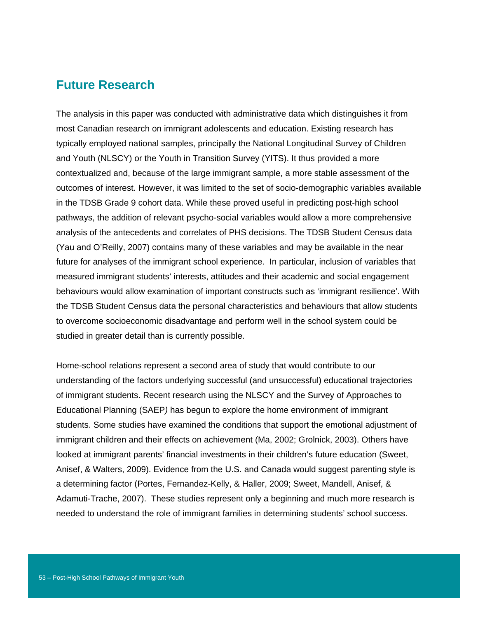### **Future Research**

The analysis in this paper was conducted with administrative data which distinguishes it from most Canadian research on immigrant adolescents and education. Existing research has typically employed national samples, principally the National Longitudinal Survey of Children and Youth (NLSCY) or the Youth in Transition Survey (YITS). It thus provided a more contextualized and, because of the large immigrant sample, a more stable assessment of the outcomes of interest. However, it was limited to the set of socio-demographic variables available in the TDSB Grade 9 cohort data. While these proved useful in predicting post-high school pathways, the addition of relevant psycho-social variables would allow a more comprehensive analysis of the antecedents and correlates of PHS decisions. The TDSB Student Census data (Yau and O'Reilly, 2007) contains many of these variables and may be available in the near future for analyses of the immigrant school experience. In particular, inclusion of variables that measured immigrant students' interests, attitudes and their academic and social engagement behaviours would allow examination of important constructs such as 'immigrant resilience'. With the TDSB Student Census data the personal characteristics and behaviours that allow students to overcome socioeconomic disadvantage and perform well in the school system could be studied in greater detail than is currently possible.

Home-school relations represent a second area of study that would contribute to our understanding of the factors underlying successful (and unsuccessful) educational trajectories of immigrant students. Recent research using the NLSCY and the Survey of Approaches to Educational Planning (SAEP*)* has begun to explore the home environment of immigrant students. Some studies have examined the conditions that support the emotional adjustment of immigrant children and their effects on achievement (Ma, 2002; Grolnick, 2003). Others have looked at immigrant parents' financial investments in their children's future education (Sweet, Anisef, & Walters, 2009). Evidence from the U.S. and Canada would suggest parenting style is a determining factor (Portes, Fernandez-Kelly, & Haller, 2009; Sweet, Mandell, Anisef, & Adamuti-Trache, 2007). These studies represent only a beginning and much more research is needed to understand the role of immigrant families in determining students' school success.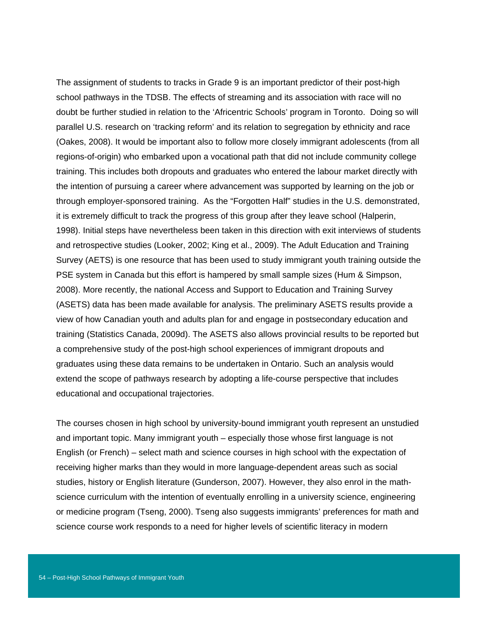The assignment of students to tracks in Grade 9 is an important predictor of their post-high school pathways in the TDSB. The effects of streaming and its association with race will no doubt be further studied in relation to the 'Africentric Schools' program in Toronto. Doing so will parallel U.S. research on 'tracking reform' and its relation to segregation by ethnicity and race (Oakes, 2008). It would be important also to follow more closely immigrant adolescents (from all regions-of-origin) who embarked upon a vocational path that did not include community college training. This includes both dropouts and graduates who entered the labour market directly with the intention of pursuing a career where advancement was supported by learning on the job or through employer-sponsored training. As the "Forgotten Half" studies in the U.S. demonstrated, it is extremely difficult to track the progress of this group after they leave school (Halperin, 1998). Initial steps have nevertheless been taken in this direction with exit interviews of students and retrospective studies (Looker, 2002; King et al., 2009). The Adult Education and Training Survey (AETS) is one resource that has been used to study immigrant youth training outside the PSE system in Canada but this effort is hampered by small sample sizes (Hum & Simpson, 2008). More recently, the national Access and Support to Education and Training Survey (ASETS) data has been made available for analysis. The preliminary ASETS results provide a view of how Canadian youth and adults plan for and engage in postsecondary education and training (Statistics Canada, 2009d). The ASETS also allows provincial results to be reported but a comprehensive study of the post-high school experiences of immigrant dropouts and graduates using these data remains to be undertaken in Ontario. Such an analysis would extend the scope of pathways research by adopting a life-course perspective that includes educational and occupational trajectories.

The courses chosen in high school by university-bound immigrant youth represent an unstudied and important topic. Many immigrant youth – especially those whose first language is not English (or French) – select math and science courses in high school with the expectation of receiving higher marks than they would in more language-dependent areas such as social studies, history or English literature (Gunderson, 2007). However, they also enrol in the mathscience curriculum with the intention of eventually enrolling in a university science, engineering or medicine program (Tseng, 2000). Tseng also suggests immigrants' preferences for math and science course work responds to a need for higher levels of scientific literacy in modern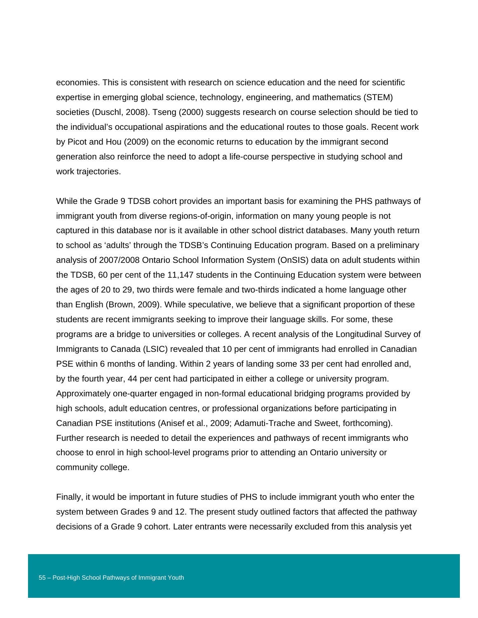economies. This is consistent with research on science education and the need for scientific expertise in emerging global science, technology, engineering, and mathematics (STEM) societies (Duschl, 2008). Tseng (2000) suggests research on course selection should be tied to the individual's occupational aspirations and the educational routes to those goals. Recent work by Picot and Hou (2009) on the economic returns to education by the immigrant second generation also reinforce the need to adopt a life-course perspective in studying school and work trajectories.

While the Grade 9 TDSB cohort provides an important basis for examining the PHS pathways of immigrant youth from diverse regions-of-origin, information on many young people is not captured in this database nor is it available in other school district databases. Many youth return to school as 'adults' through the TDSB's Continuing Education program. Based on a preliminary analysis of 2007/2008 Ontario School Information System (OnSIS) data on adult students within the TDSB, 60 per cent of the 11,147 students in the Continuing Education system were between the ages of 20 to 29, two thirds were female and two-thirds indicated a home language other than English (Brown, 2009). While speculative, we believe that a significant proportion of these students are recent immigrants seeking to improve their language skills. For some, these programs are a bridge to universities or colleges. A recent analysis of the Longitudinal Survey of Immigrants to Canada (LSIC) revealed that 10 per cent of immigrants had enrolled in Canadian PSE within 6 months of landing. Within 2 years of landing some 33 per cent had enrolled and, by the fourth year, 44 per cent had participated in either a college or university program. Approximately one-quarter engaged in non-formal educational bridging programs provided by high schools, adult education centres, or professional organizations before participating in Canadian PSE institutions (Anisef et al., 2009; Adamuti-Trache and Sweet, forthcoming). Further research is needed to detail the experiences and pathways of recent immigrants who choose to enrol in high school-level programs prior to attending an Ontario university or community college.

Finally, it would be important in future studies of PHS to include immigrant youth who enter the system between Grades 9 and 12. The present study outlined factors that affected the pathway decisions of a Grade 9 cohort. Later entrants were necessarily excluded from this analysis yet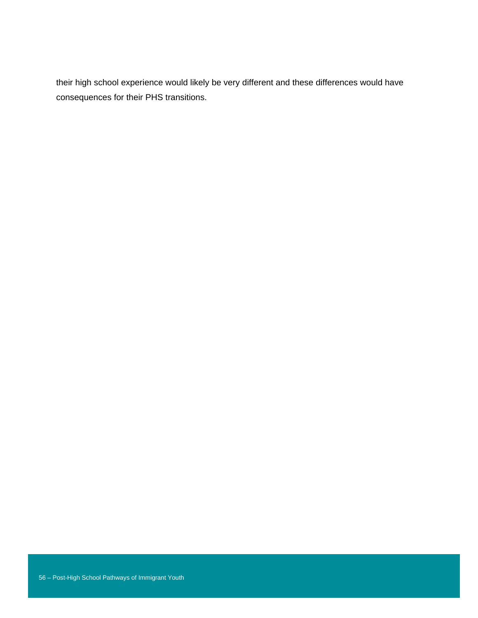their high school experience would likely be very different and these differences would have consequences for their PHS transitions.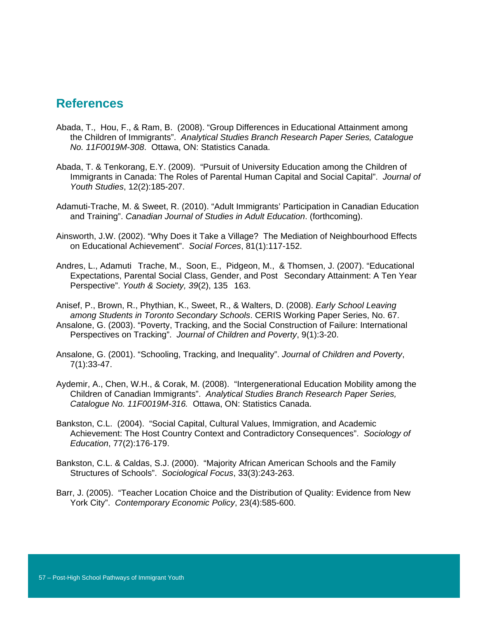### **References**

- Abada, T., Hou, F., & Ram, B. (2008). "Group Differences in Educational Attainment among the Children of Immigrants". *Analytical Studies Branch Research Paper Series, Catalogue No. 11F0019M-308*. Ottawa, ON: Statistics Canada.
- Abada, T. & Tenkorang, E.Y. (2009). "Pursuit of University Education among the Children of Immigrants in Canada: The Roles of Parental Human Capital and Social Capital". *Journal of Youth Studies*, 12(2):185-207.
- Adamuti-Trache, M. & Sweet, R. (2010). "Adult Immigrants' Participation in Canadian Education and Training". *Canadian Journal of Studies in Adult Education*. (forthcoming).
- Ainsworth, J.W. (2002). "Why Does it Take a Village? The Mediation of Neighbourhood Effects on Educational Achievement". *Social Forces*, 81(1):117-152.
- Andres, L., Adamuti Trache, M., Soon, E., Pidgeon, M., & Thomsen, J. (2007). "Educational Expectations, Parental Social Class, Gender, and Post Secondary Attainment: A Ten Year Perspective". *Youth & Society, 39(2)*, 135 163.

Anisef, P., Brown, R., Phythian, K., Sweet, R., & Walters, D. (2008). *Early School Leaving among Students in Toronto Secondary Schools*. CERIS Working Paper Series, No. 67.

- Ansalone, G. (2003). "Poverty, Tracking, and the Social Construction of Failure: International Perspectives on Tracking". *Journal of Children and Poverty*, 9(1):3-20.
- Ansalone, G. (2001). "Schooling, Tracking, and Inequality". *Journal of Children and Poverty*, 7(1):33-47.
- Aydemir, A., Chen, W.H., & Corak, M. (2008). "Intergenerational Education Mobility among the Children of Canadian Immigrants". *Analytical Studies Branch Research Paper Series, Catalogue No. 11F0019M-316.* Ottawa, ON: Statistics Canada.
- Bankston, C.L. (2004). "Social Capital, Cultural Values, Immigration, and Academic Achievement: The Host Country Context and Contradictory Consequences". *Sociology of Education*, 77(2):176-179.
- Bankston, C.L. & Caldas, S.J. (2000). "Majority African American Schools and the Family Structures of Schools". *Sociological Focus*, 33(3):243-263.
- Barr, J. (2005). "Teacher Location Choice and the Distribution of Quality: Evidence from New York City". *Contemporary Economic Policy*, 23(4):585-600.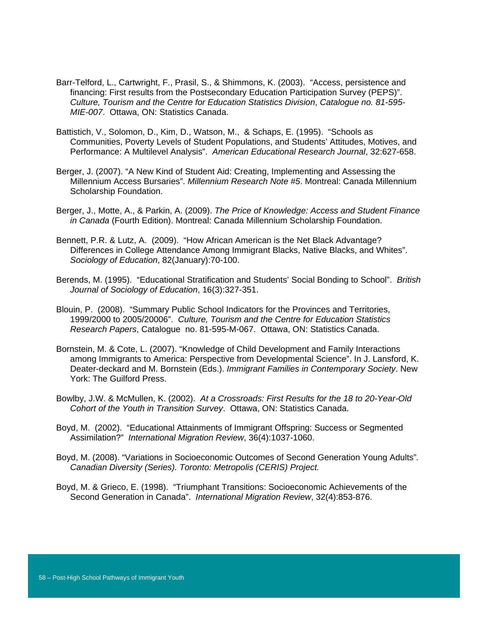- Barr-Telford, L., Cartwright, F., Prasil, S., & Shimmons, K. (2003). "Access, persistence and financing: First results from the Postsecondary Education Participation Survey (PEPS)". *Culture, Tourism and the Centre for Education Statistics Division*, *Catalogue no. 81-595- MIE-007*. Ottawa, ON: Statistics Canada.
- Battistich, V., Solomon, D., Kim, D., Watson, M., & Schaps, E. (1995). "Schools as Communities, Poverty Levels of Student Populations, and Students' Attitudes, Motives, and Performance: A Multilevel Analysis". *American Educational Research Journal*, 32:627-658.
- Berger, J. (2007). "A New Kind of Student Aid: Creating, Implementing and Assessing the Millennium Access Bursaries". *Millennium Research Note #5*. Montreal: Canada Millennium Scholarship Foundation.
- Berger, J., Motte, A., & Parkin, A. (2009). *The Price of Knowledge: Access and Student Finance in Canada* (Fourth Edition). Montreal: Canada Millennium Scholarship Foundation.
- Bennett, P.R. & Lutz, A. (2009). "How African American is the Net Black Advantage? Differences in College Attendance Among Immigrant Blacks, Native Blacks, and Whites". *Sociology of Education*, 82(January):70-100.
- Berends, M. (1995). "Educational Stratification and Students' Social Bonding to School". *British Journal of Sociology of Education*, 16(3):327-351.
- Blouin, P. (2008). "Summary Public School Indicators for the Provinces and Territories, 1999/2000 to 2005/20006". *Culture, Tourism and the Centre for Education Statistics Research Papers*, Catalogue no. 81-595-M-067. Ottawa, ON: Statistics Canada.
- Bornstein, M. & Cote, L. (2007). "Knowledge of Child Development and Family Interactions among Immigrants to America: Perspective from Developmental Science". In J. Lansford, K. Deater-deckard and M. Bornstein (Eds.). *Immigrant Families in Contemporary Society*. New York: The Guilford Press.
- Bowlby, J.W. & McMullen, K. (2002). *At a Crossroads: First Results for the 18 to 20-Year-Old Cohort of the Youth in Transition Survey*. Ottawa, ON: Statistics Canada.
- Boyd, M. (2002). "Educational Attainments of Immigrant Offspring: Success or Segmented Assimilation?" *International Migration Review*, 36(4):1037-1060.
- Boyd, M. (2008). "Variations in Socioeconomic Outcomes of Second Generation Young Adults"*. Canadian Diversity (Series). Toronto: Metropolis (CERIS) Project.*
- Boyd, M. & Grieco, E. (1998). "Triumphant Transitions: Socioeconomic Achievements of the Second Generation in Canada". *International Migration Review*, 32(4):853-876.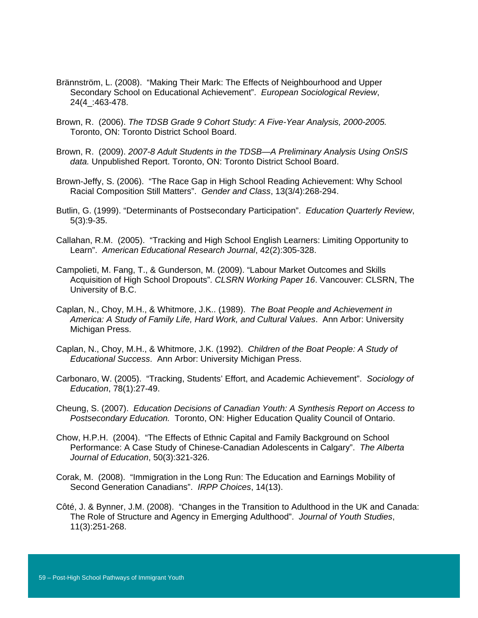- Brännström, L. (2008). "Making Their Mark: The Effects of Neighbourhood and Upper Secondary School on Educational Achievement". *European Sociological Review*, 24(4\_:463-478.
- Brown, R. (2006). *The TDSB Grade 9 Cohort Study: A Five-Year Analysis, 2000-2005.* Toronto, ON: Toronto District School Board.
- Brown, R. (2009). *2007-8 Adult Students in the TDSB—A Preliminary Analysis Using OnSIS data.* Unpublished Report. Toronto, ON: Toronto District School Board.
- Brown-Jeffy, S. (2006). "The Race Gap in High School Reading Achievement: Why School Racial Composition Still Matters". *Gender and Class*, 13(3/4):268-294.
- Butlin, G. (1999). "Determinants of Postsecondary Participation". *Education Quarterly Review*, 5(3):9-35.
- Callahan, R.M. (2005). "Tracking and High School English Learners: Limiting Opportunity to Learn". *American Educational Research Journal*, 42(2):305-328.
- Campolieti, M. Fang, T., & Gunderson, M. (2009). "Labour Market Outcomes and Skills Acquisition of High School Dropouts". *CLSRN Working Paper 16*. Vancouver: CLSRN, The University of B.C.
- Caplan, N., Choy, M.H., & Whitmore, J.K.. (1989). *The Boat People and Achievement in America: A Study of Family Life, Hard Work, and Cultural Values*. Ann Arbor: University Michigan Press.
- Caplan, N., Choy, M.H., & Whitmore, J.K. (1992). *Children of the Boat People: A Study of Educational Success*. Ann Arbor: University Michigan Press.
- Carbonaro, W. (2005). "Tracking, Students' Effort, and Academic Achievement". *Sociology of Education*, 78(1):27-49.
- Cheung, S. (2007). *Education Decisions of Canadian Youth: A Synthesis Report on Access to Postsecondary Education.* Toronto, ON: Higher Education Quality Council of Ontario.
- Chow, H.P.H. (2004). "The Effects of Ethnic Capital and Family Background on School Performance: A Case Study of Chinese-Canadian Adolescents in Calgary". *The Alberta Journal of Education*, 50(3):321-326.
- Corak, M. (2008). "Immigration in the Long Run: The Education and Earnings Mobility of Second Generation Canadians". *IRPP Choices*, 14(13).
- Côté, J. & Bynner, J.M. (2008). "Changes in the Transition to Adulthood in the UK and Canada: The Role of Structure and Agency in Emerging Adulthood". *Journal of Youth Studies*, 11(3):251-268.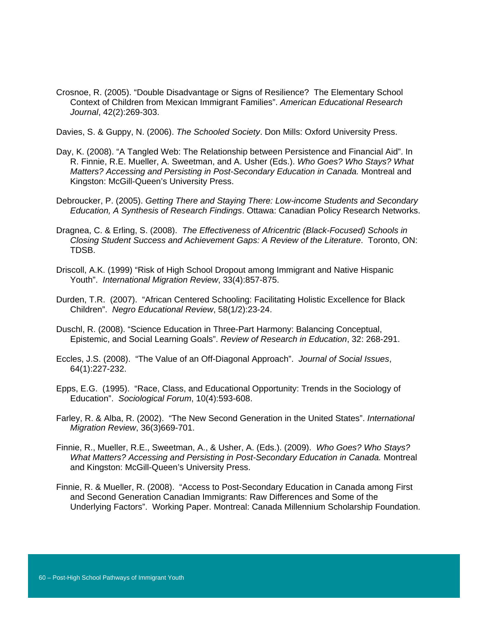Crosnoe, R. (2005). "Double Disadvantage or Signs of Resilience? The Elementary School Context of Children from Mexican Immigrant Families". *American Educational Research Journal*, 42(2):269-303.

Davies, S. & Guppy, N. (2006). *The Schooled Society*. Don Mills: Oxford University Press.

- Day, K. (2008). "A Tangled Web: The Relationship between Persistence and Financial Aid". In R. Finnie, R.E. Mueller, A. Sweetman, and A. Usher (Eds.). *Who Goes? Who Stays? What Matters? Accessing and Persisting in Post-Secondary Education in Canada.* Montreal and Kingston: McGill-Queen's University Press.
- Debroucker, P. (2005). *Getting There and Staying There: Low-income Students and Secondary Education, A Synthesis of Research Findings*. Ottawa: Canadian Policy Research Networks.
- Dragnea, C. & Erling, S. (2008). *The Effectiveness of Africentric (Black-Focused) Schools in Closing Student Success and Achievement Gaps: A Review of the Literature*. Toronto, ON: TDSB.
- Driscoll, A.K. (1999) "Risk of High School Dropout among Immigrant and Native Hispanic Youth". *International Migration Review*, 33(4):857-875.
- Durden, T.R. (2007). "African Centered Schooling: Facilitating Holistic Excellence for Black Children". *Negro Educational Review*, 58(1/2):23-24.
- Duschl, R. (2008). "Science Education in Three-Part Harmony: Balancing Conceptual, Epistemic, and Social Learning Goals". *Review of Research in Education*, 32: 268-291.
- Eccles, J.S. (2008). "The Value of an Off-Diagonal Approach". *Journal of Social Issues*, 64(1):227-232.
- Epps, E.G. (1995). "Race, Class, and Educational Opportunity: Trends in the Sociology of Education". *Sociological Forum*, 10(4):593-608.
- Farley, R. & Alba, R. (2002). "The New Second Generation in the United States". *International Migration Review*, 36(3)669-701.
- Finnie, R., Mueller, R.E., Sweetman, A., & Usher, A. (Eds.). (2009). *Who Goes? Who Stays? What Matters? Accessing and Persisting in Post-Secondary Education in Canada.* Montreal and Kingston: McGill-Queen's University Press.
- Finnie, R. & Mueller, R. (2008). "Access to Post-Secondary Education in Canada among First and Second Generation Canadian Immigrants: Raw Differences and Some of the Underlying Factors". Working Paper. Montreal: Canada Millennium Scholarship Foundation.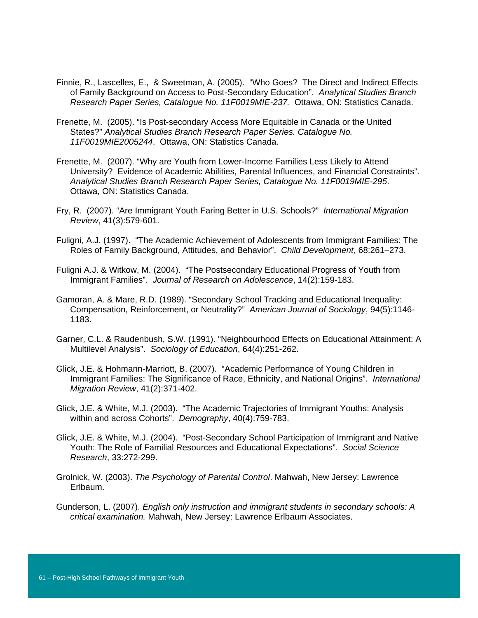- Finnie, R., Lascelles, E., & Sweetman, A. (2005). "Who Goes? The Direct and Indirect Effects of Family Background on Access to Post-Secondary Education". *Analytical Studies Branch Research Paper Series, Catalogue No. 11F0019MIE-237.* Ottawa, ON: Statistics Canada.
- Frenette, M. (2005). "Is Post-secondary Access More Equitable in Canada or the United States?" *Analytical Studies Branch Research Paper Series. Catalogue No. 11F0019MIE2005244*. Ottawa, ON: Statistics Canada.
- Frenette, M. (2007). "Why are Youth from Lower-Income Families Less Likely to Attend University? Evidence of Academic Abilities, Parental Influences, and Financial Constraints". *Analytical Studies Branch Research Paper Series, Catalogue No. 11F0019MIE-295*. Ottawa, ON: Statistics Canada.
- Fry, R. (2007). "Are Immigrant Youth Faring Better in U.S. Schools?" *International Migration Review*, 41(3):579-601.
- Fuligni, A.J. (1997). "The Academic Achievement of Adolescents from Immigrant Families: The Roles of Family Background, Attitudes, and Behavior". *Child Development*, 68:261–273.
- Fuligni A.J. & Witkow, M. (2004). "The Postsecondary Educational Progress of Youth from Immigrant Families". *Journal of Research on Adolescence*, 14(2):159-183.
- Gamoran, A. & Mare, R.D. (1989). "Secondary School Tracking and Educational Inequality: Compensation, Reinforcement, or Neutrality?" *American Journal of Sociology*, 94(5):1146- 1183.
- Garner, C.L. & Raudenbush, S.W. (1991). "Neighbourhood Effects on Educational Attainment: A Multilevel Analysis". *Sociology of Education*, 64(4):251-262.
- Glick, J.E. & Hohmann-Marriott, B. (2007). "Academic Performance of Young Children in Immigrant Families: The Significance of Race, Ethnicity, and National Origins". *International Migration Review*, 41(2):371-402.
- Glick, J.E. & White, M.J. (2003). "The Academic Trajectories of Immigrant Youths: Analysis within and across Cohorts". *Demography*, 40(4):759-783.
- Glick, J.E. & White, M.J. (2004). "Post-Secondary School Participation of Immigrant and Native Youth: The Role of Familial Resources and Educational Expectations". *Social Science Research*, 33:272-299.
- Grolnick, W. (2003). *The Psychology of Parental Control*. Mahwah, New Jersey: Lawrence Erlbaum.
- Gunderson, L. (2007). *English only instruction and immigrant students in secondary schools: A critical examination.* Mahwah, New Jersey: Lawrence Erlbaum Associates.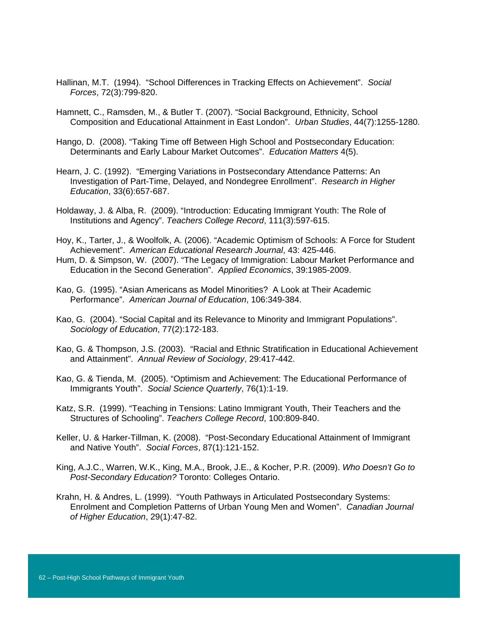- Hallinan, M.T. (1994). "School Differences in Tracking Effects on Achievement". *Social Forces*, 72(3):799-820.
- Hamnett, C., Ramsden, M., & Butler T. (2007). "Social Background, Ethnicity, School Composition and Educational Attainment in East London". *Urban Studies*, 44(7):1255-1280.
- Hango, D. (2008). "Taking Time off Between High School and Postsecondary Education: Determinants and Early Labour Market Outcomes". *Education Matters* 4(5).
- Hearn, J. C. (1992). "Emerging Variations in Postsecondary Attendance Patterns: An Investigation of Part-Time, Delayed, and Nondegree Enrollment". *Research in Higher Education*, 33(6):657-687.
- Holdaway, J. & Alba, R. (2009). "Introduction: Educating Immigrant Youth: The Role of Institutions and Agency". *Teachers College Record*, 111(3):597-615.
- Hoy, K., Tarter, J., & Woolfolk, A. (2006). "Academic Optimism of Schools: A Force for Student Achievement". *American Educational Research Journal*, 43: 425-446.
- Hum, D. & Simpson, W. (2007). "The Legacy of Immigration: Labour Market Performance and Education in the Second Generation". *Applied Economics*, 39:1985-2009.
- Kao, G. (1995). "Asian Americans as Model Minorities? A Look at Their Academic Performance". *American Journal of Education*, 106:349-384.
- Kao, G. (2004). "Social Capital and its Relevance to Minority and Immigrant Populations". *Sociology of Education*, 77(2):172-183.
- Kao, G. & Thompson, J.S. (2003). "Racial and Ethnic Stratification in Educational Achievement and Attainment". *Annual Review of Sociology*, 29:417-442.
- Kao, G. & Tienda, M. (2005). "Optimism and Achievement: The Educational Performance of Immigrants Youth". *Social Science Quarterly*, 76(1):1-19.
- Katz, S.R. (1999). "Teaching in Tensions: Latino Immigrant Youth, Their Teachers and the Structures of Schooling". *Teachers College Record*, 100:809-840.
- Keller, U. & Harker-Tillman, K. (2008). "Post-Secondary Educational Attainment of Immigrant and Native Youth". *Social Forces*, 87(1):121-152.
- King, A.J.C., Warren, W.K., King, M.A., Brook, J.E., & Kocher, P.R. (2009). *Who Doesn't Go to Post-Secondary Education?* Toronto: Colleges Ontario.
- Krahn, H. & Andres, L. (1999). "Youth Pathways in Articulated Postsecondary Systems: Enrolment and Completion Patterns of Urban Young Men and Women". *Canadian Journal of Higher Education*, 29(1):47-82.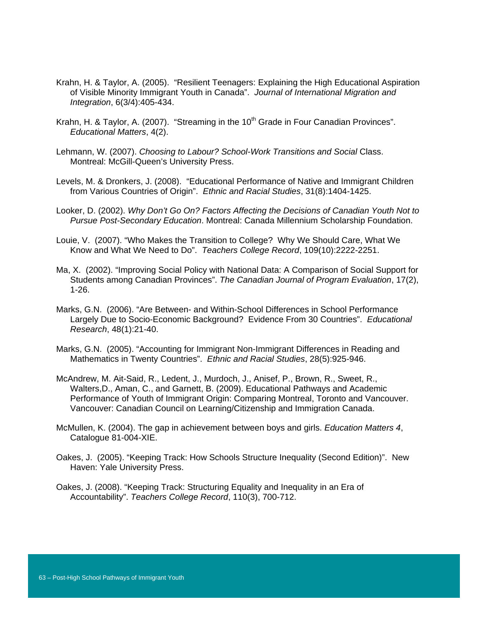- Krahn, H. & Taylor, A. (2005). "Resilient Teenagers: Explaining the High Educational Aspiration of Visible Minority Immigrant Youth in Canada". *Journal of International Migration and Integration*, 6(3/4):405-434.
- Krahn, H. & Taylor, A. (2007). "Streaming in the  $10<sup>th</sup>$  Grade in Four Canadian Provinces". *Educational Matters*, 4(2).
- Lehmann, W. (2007). *Choosing to Labour? School-Work Transitions and Social* Class. Montreal: McGill-Queen's University Press.
- Levels, M. & Dronkers, J. (2008). "Educational Performance of Native and Immigrant Children from Various Countries of Origin". *Ethnic and Racial Studies*, 31(8):1404-1425.
- Looker, D. (2002). *Why Don't Go On? Factors Affecting the Decisions of Canadian Youth Not to Pursue Post-Secondary Education*. Montreal: Canada Millennium Scholarship Foundation.
- Louie, V. (2007). "Who Makes the Transition to College? Why We Should Care, What We Know and What We Need to Do". *Teachers College Record*, 109(10):2222-2251.
- Ma, X. (2002). "Improving Social Policy with National Data: A Comparison of Social Support for Students among Canadian Provinces". *The Canadian Journal of Program Evaluation*, 17(2), 1-26.
- Marks, G.N. (2006). "Are Between- and Within-School Differences in School Performance Largely Due to Socio-Economic Background? Evidence From 30 Countries". *Educational Research*, 48(1):21-40.
- Marks, G.N. (2005). "Accounting for Immigrant Non-Immigrant Differences in Reading and Mathematics in Twenty Countries". *Ethnic and Racial Studies*, 28(5):925-946.
- McAndrew, M. Ait-Said, R., Ledent, J., Murdoch, J., Anisef, P., Brown, R., Sweet, R., Walters,D., Aman, C., and Garnett, B. (2009). Educational Pathways and Academic Performance of Youth of Immigrant Origin: Comparing Montreal, Toronto and Vancouver. Vancouver: Canadian Council on Learning/Citizenship and Immigration Canada.
- McMullen, K. (2004). The gap in achievement between boys and girls. *Education Matters 4*, Catalogue 81-004-XIE.
- Oakes, J. (2005). "Keeping Track: How Schools Structure Inequality (Second Edition)". New Haven: Yale University Press.
- Oakes, J. (2008). "Keeping Track: Structuring Equality and Inequality in an Era of Accountability". *Teachers College Record*, 110(3), 700-712.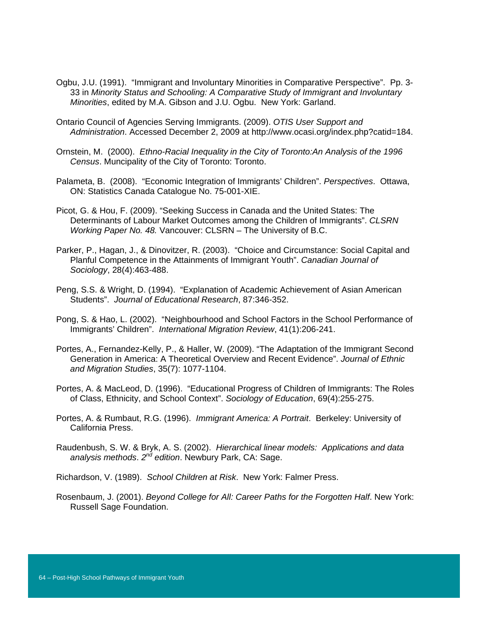- Ogbu, J.U. (1991). "Immigrant and Involuntary Minorities in Comparative Perspective". Pp. 3- 33 in *Minority Status and Schooling: A Comparative Study of Immigrant and Involuntary Minorities*, edited by M.A. Gibson and J.U. Ogbu. New York: Garland.
- Ontario Council of Agencies Serving Immigrants. (2009). *OTIS User Support and Administration*. Accessed December 2, 2009 at http://www.ocasi.org/index.php?catid=184.
- Ornstein, M. (2000). *Ethno-Racial Inequality in the City of Toronto:An Analysis of the 1996 Census*. Muncipality of the City of Toronto: Toronto.
- Palameta, B. (2008). "Economic Integration of Immigrants' Children". *Perspectives*. Ottawa, ON: Statistics Canada Catalogue No. 75-001-XIE.
- Picot, G. & Hou, F. (2009). "Seeking Success in Canada and the United States: The Determinants of Labour Market Outcomes among the Children of Immigrants". *CLSRN Working Paper No. 48.* Vancouver: CLSRN – The University of B.C.
- Parker, P., Hagan, J., & Dinovitzer, R. (2003). "Choice and Circumstance: Social Capital and Planful Competence in the Attainments of Immigrant Youth". *Canadian Journal of Sociology*, 28(4):463-488.
- Peng, S.S. & Wright, D. (1994). "Explanation of Academic Achievement of Asian American Students". *Journal of Educational Research*, 87:346-352.
- Pong, S. & Hao, L. (2002). "Neighbourhood and School Factors in the School Performance of Immigrants' Children". *International Migration Review*, 41(1):206-241.
- Portes, A., Fernandez-Kelly, P., & Haller, W. (2009). "The Adaptation of the Immigrant Second Generation in America: A Theoretical Overview and Recent Evidence". *Journal of Ethnic and Migration Studies*, 35(7): 1077-1104.
- Portes, A. & MacLeod, D. (1996). "Educational Progress of Children of Immigrants: The Roles of Class, Ethnicity, and School Context". *Sociology of Education*, 69(4):255-275.
- Portes, A. & Rumbaut, R.G. (1996). *Immigrant America: A Portrait*. Berkeley: University of California Press.
- Raudenbush, S. W. & Bryk, A. S. (2002). *Hierarchical linear models: Applications and data analysis methods*. *2nd edition*. Newbury Park, CA: Sage.
- Richardson, V. (1989). *School Children at Risk*. New York: Falmer Press.
- Rosenbaum, J. (2001). *Beyond College for All: Career Paths for the Forgotten Half*. New York: Russell Sage Foundation.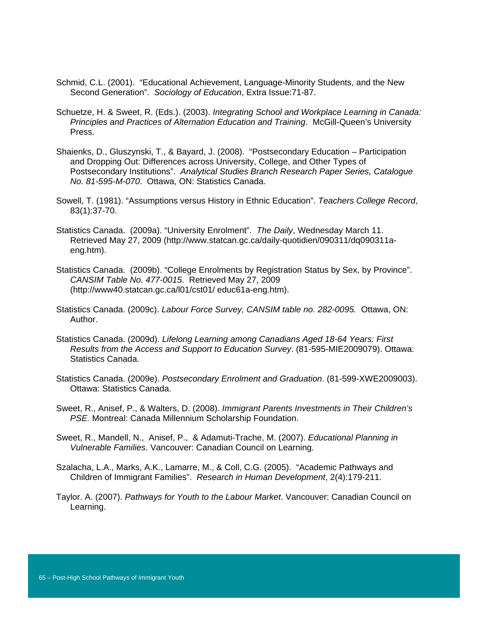- Schmid, C.L. (2001). "Educational Achievement, Language-Minority Students, and the New Second Generation". *Sociology of Education*, Extra Issue:71-87.
- Schuetze, H. & Sweet, R. (Eds.). (2003). *Integrating School and Workplace Learning in Canada: Principles and Practices of Alternation Education and Training*. McGill-Queen's University Press.
- Shaienks, D., Gluszynski, T., & Bayard, J. (2008). "Postsecondary Education Participation and Dropping Out: Differences across University, College, and Other Types of Postsecondary Institutions". *Analytical Studies Branch Research Paper Series, Catalogue No. 81-595-M-070*. Ottawa, ON: Statistics Canada.
- Sowell, T. (1981). "Assumptions versus History in Ethnic Education". *Teachers College Record*, 83(1):37-70.
- Statistics Canada. (2009a). "University Enrolment". *The Daily*, Wednesday March 11. Retrieved May 27, 2009 (http://www.statcan.gc.ca/daily-quotidien/090311/dq090311aeng.htm).
- Statistics Canada. (2009b). "College Enrolments by Registration Status by Sex, by Province". *CANSIM Table No. 477-0015*. Retrieved May 27, 2009 (http://www40.statcan.gc.ca/l01/cst01/ educ61a-eng.htm).
- Statistics Canada. (2009c). *Labour Force Survey, CANSIM table no. 282-0095.* Ottawa, ON: Author.
- Statistics Canada. (2009d). *Lifelong Learning among Canadians Aged 18-64 Years: First Results from the Access and Support to Education Survey*. (81-595-MIE2009079). Ottawa: Statistics Canada.
- Statistics Canada. (2009e). *Postsecondary Enrolment and Graduation*. (81-599-XWE2009003). Ottawa: Statistics Canada.
- Sweet, R., Anisef, P., & Walters, D. (2008). *Immigrant Parents Investments in Their Children's PSE.* Montreal: Canada Millennium Scholarship Foundation.
- Sweet, R., Mandell, N., Anisef, P., & Adamuti-Trache, M. (2007). *Educational Planning in Vulnerable Families*. Vancouver: Canadian Council on Learning.
- Szalacha, L.A., Marks, A.K., Lamarre, M., & Coll, C.G. (2005). "Academic Pathways and Children of Immigrant Families". *Research in Human Development*, 2(4):179-211.
- Taylor. A. (2007). *Pathways for Youth to the Labour Market*. Vancouver: Canadian Council on Learning.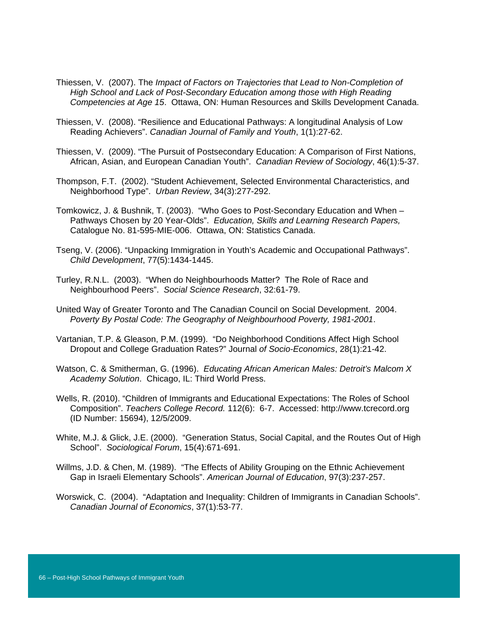- Thiessen, V. (2007). The *Impact of Factors on Trajectories that Lead to Non-Completion of High School and Lack of Post-Secondary Education among those with High Reading Competencies at Age 15*. Ottawa, ON: Human Resources and Skills Development Canada.
- Thiessen, V. (2008). "Resilience and Educational Pathways: A longitudinal Analysis of Low Reading Achievers". *Canadian Journal of Family and Youth*, 1(1):27-62.
- Thiessen, V. (2009). "The Pursuit of Postsecondary Education: A Comparison of First Nations, African, Asian, and European Canadian Youth". *Canadian Review of Sociology*, 46(1):5-37.
- Thompson, F.T. (2002). "Student Achievement, Selected Environmental Characteristics, and Neighborhood Type". *Urban Review*, 34(3):277-292.
- Tomkowicz, J. & Bushnik, T. (2003). "Who Goes to Post-Secondary Education and When Pathways Chosen by 20 Year-Olds". *Education, Skills and Learning Research Papers,*  Catalogue No. 81-595-MIE-006. Ottawa, ON: Statistics Canada.
- Tseng, V. (2006). "Unpacking Immigration in Youth's Academic and Occupational Pathways". *Child Development*, 77(5):1434-1445.
- Turley, R.N.L. (2003). "When do Neighbourhoods Matter? The Role of Race and Neighbourhood Peers". *Social Science Research*, 32:61-79.
- United Way of Greater Toronto and The Canadian Council on Social Development. 2004. *Poverty By Postal Code: The Geography of Neighbourhood Poverty, 1981-2001*.
- Vartanian, T.P. & Gleason, P.M. (1999). "Do Neighborhood Conditions Affect High School Dropout and College Graduation Rates?" Journal *of Socio-Economics*, 28(1):21-42.
- Watson, C. & Smitherman, G. (1996). *Educating African American Males: Detroit's Malcom X Academy Solution*. Chicago, IL: Third World Press.
- Wells, R. (2010). "Children of Immigrants and Educational Expectations: The Roles of School Composition". *Teachers College Record.* 112(6): 6-7. Accessed: http://www.tcrecord.org (ID Number: 15694), 12/5/2009.
- White, M.J. & Glick, J.E. (2000). "Generation Status, Social Capital, and the Routes Out of High School". *Sociological Forum*, 15(4):671-691.
- Willms, J.D. & Chen, M. (1989). "The Effects of Ability Grouping on the Ethnic Achievement Gap in Israeli Elementary Schools". *American Journal of Education*, 97(3):237-257.
- Worswick, C. (2004). "Adaptation and Inequality: Children of Immigrants in Canadian Schools". *Canadian Journal of Economics*, 37(1):53-77.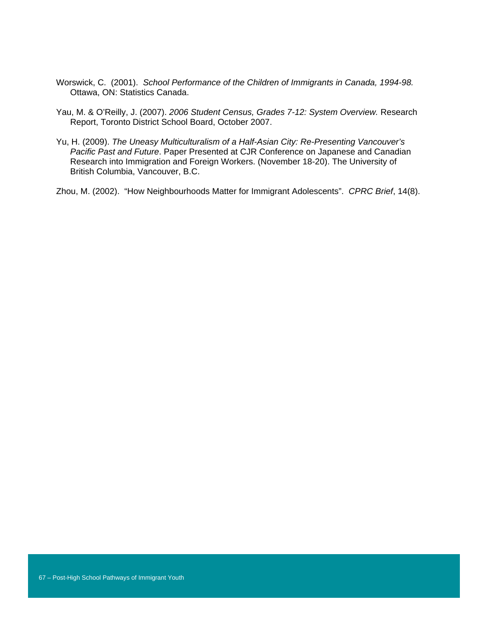- Worswick, C. (2001). *School Performance of the Children of Immigrants in Canada, 1994-98.* Ottawa, ON: Statistics Canada.
- Yau, M. & O'Reilly, J. (2007). *2006 Student Census, Grades 7-12: System Overview.* Research Report, Toronto District School Board, October 2007.
- Yu, H. (2009). *The Uneasy Multiculturalism of a Half-Asian City: Re-Presenting Vancouver's Pacific Past and Future*. Paper Presented at CJR Conference on Japanese and Canadian Research into Immigration and Foreign Workers. (November 18-20). The University of British Columbia, Vancouver, B.C.

Zhou, M. (2002). "How Neighbourhoods Matter for Immigrant Adolescents". *CPRC Brief*, 14(8).